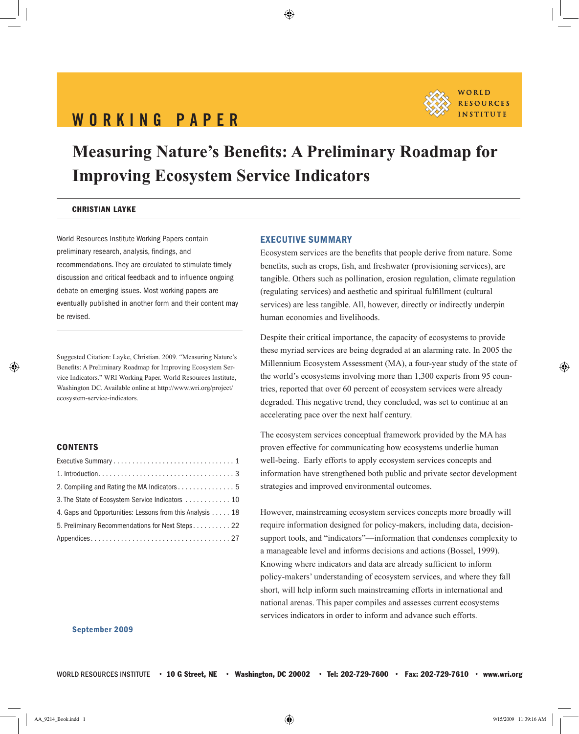# WORKING PAPER



# **Measuring Nature's Benefits: A Preliminary Roadmap for Improving Ecosystem Service Indicators**

#### Christian Layke

World Resources Institute Working Papers contain preliminary research, analysis, findings, and recommendations. They are circulated to stimulate timely discussion and critical feedback and to influence ongoing debate on emerging issues. Most working papers are eventually published in another form and their content may be revised.

Suggested Citation: Layke, Christian. 2009. "Measuring Nature's Benefits: A Preliminary Roadmap for Improving Ecosystem Service Indicators." WRI Working Paper. World Resources Institute, Washington DC. Available online at http://www.wri.org/project/ ecosystem-service-indicators.

## **CONTENTS**

| 2. Compiling and Rating the MA Indicators 5              |
|----------------------------------------------------------|
| 3. The State of Ecosystem Service Indicators  10         |
| 4. Gaps and Opportunities: Lessons from this Analysis 18 |
| 5. Preliminary Recommendations for Next Steps 22         |
|                                                          |

## Executive Summary

Ecosystem services are the benefits that people derive from nature. Some benefits, such as crops, fish, and freshwater (provisioning services), are tangible. Others such as pollination, erosion regulation, climate regulation (regulating services) and aesthetic and spiritual fulfillment (cultural services) are less tangible. All, however, directly or indirectly underpin human economies and livelihoods.

Despite their critical importance, the capacity of ecosystems to provide these myriad services are being degraded at an alarming rate. In 2005 the Millennium Ecosystem Assessment (MA), a four-year study of the state of the world's ecosystems involving more than 1,300 experts from 95 countries, reported that over 60 percent of ecosystem services were already degraded. This negative trend, they concluded, was set to continue at an accelerating pace over the next half century.

The ecosystem services conceptual framework provided by the MA has proven effective for communicating how ecosystems underlie human well-being. Early efforts to apply ecosystem services concepts and information have strengthened both public and private sector development strategies and improved environmental outcomes.

However, mainstreaming ecosystem services concepts more broadly will require information designed for policy-makers, including data, decisionsupport tools, and "indicators"—information that condenses complexity to a manageable level and informs decisions and actions (Bossel, 1999). Knowing where indicators and data are already sufficient to inform policy-makers' understanding of ecosystem services, and where they fall short, will help inform such mainstreaming efforts in international and national arenas. This paper compiles and assesses current ecosystems services indicators in order to inform and advance such efforts.

#### September 2009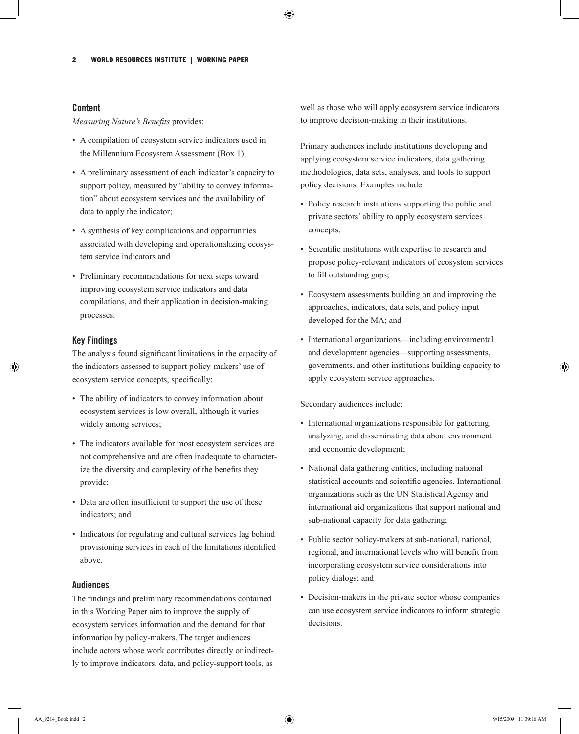## Content

*Measuring Nature's Benefits* provides:

- A compilation of ecosystem service indicators used in the Millennium Ecosystem Assessment (Box 1);
- A preliminary assessment of each indicator's capacity to support policy, measured by "ability to convey information" about ecosystem services and the availability of data to apply the indicator;
- A synthesis of key complications and opportunities associated with developing and operationalizing ecosystem service indicators and
- Preliminary recommendations for next steps toward improving ecosystem service indicators and data compilations, and their application in decision-making processes.

## Key Findings

The analysis found significant limitations in the capacity of the indicators assessed to support policy-makers' use of ecosystem service concepts, specifically:

- The ability of indicators to convey information about ecosystem services is low overall, although it varies widely among services;
- The indicators available for most ecosystem services are not comprehensive and are often inadequate to characterize the diversity and complexity of the benefits they provide;
- Data are often insufficient to support the use of these indicators; and
- Indicators for regulating and cultural services lag behind provisioning services in each of the limitations identified above.

## Audiences

The findings and preliminary recommendations contained in this Working Paper aim to improve the supply of ecosystem services information and the demand for that information by policy-makers. The target audiences include actors whose work contributes directly or indirectly to improve indicators, data, and policy-support tools, as

well as those who will apply ecosystem service indicators to improve decision-making in their institutions.

Primary audiences include institutions developing and applying ecosystem service indicators, data gathering methodologies, data sets, analyses, and tools to support policy decisions. Examples include:

- Policy research institutions supporting the public and private sectors' ability to apply ecosystem services concepts;
- Scientific institutions with expertise to research and propose policy-relevant indicators of ecosystem services to fill outstanding gaps;
- Ecosystem assessments building on and improving the approaches, indicators, data sets, and policy input developed for the MA; and
- International organizations—including environmental and development agencies—supporting assessments, governments, and other institutions building capacity to apply ecosystem service approaches.

Secondary audiences include:

- International organizations responsible for gathering, analyzing, and disseminating data about environment and economic development;
- National data gathering entities, including national statistical accounts and scientific agencies. International organizations such as the UN Statistical Agency and international aid organizations that support national and sub-national capacity for data gathering;
- Public sector policy-makers at sub-national, national, regional, and international levels who will benefit from incorporating ecosystem service considerations into policy dialogs; and
- Decision-makers in the private sector whose companies can use ecosystem service indicators to inform strategic decisions.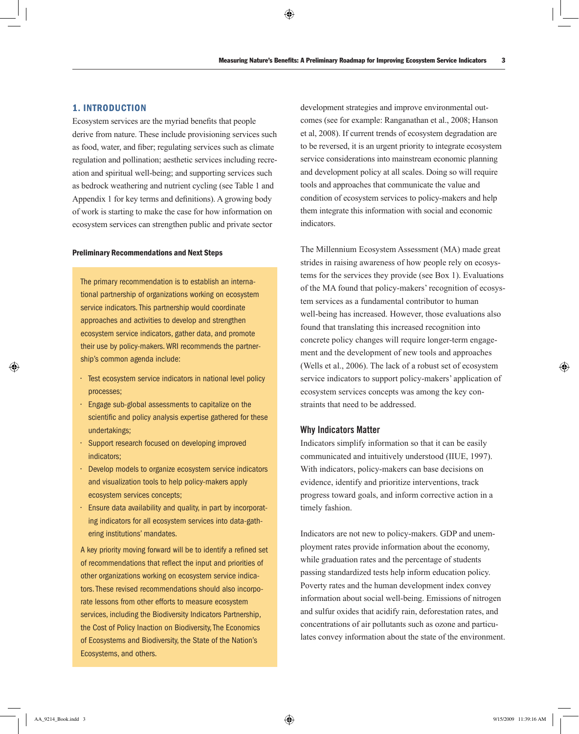## 1. Introduction

Ecosystem services are the myriad benefits that people derive from nature. These include provisioning services such as food, water, and fiber; regulating services such as climate regulation and pollination; aesthetic services including recreation and spiritual well-being; and supporting services such as bedrock weathering and nutrient cycling (see Table 1 and Appendix 1 for key terms and definitions). A growing body of work is starting to make the case for how information on ecosystem services can strengthen public and private sector

#### Preliminary Recommendations and Next Steps

The primary recommendation is to establish an international partnership of organizations working on ecosystem service indicators. This partnership would coordinate approaches and activities to develop and strengthen ecosystem service indicators, gather data, and promote their use by policy-makers. WRI recommends the partnership's common agenda include:

- Test ecosystem service indicators in national level policy processes;
- $\cdot$  Engage sub-global assessments to capitalize on the scientific and policy analysis expertise gathered for these undertakings;
- Support research focused on developing improved indicators;
- Develop models to organize ecosystem service indicators and visualization tools to help policy-makers apply ecosystem services concepts;
- $\cdot$  Ensure data availability and quality, in part by incorporating indicators for all ecosystem services into data-gathering institutions' mandates.

A key priority moving forward will be to identify a refined set of recommendations that reflect the input and priorities of other organizations working on ecosystem service indicators. These revised recommendations should also incorporate lessons from other efforts to measure ecosystem services, including the Biodiversity Indicators Partnership, the Cost of Policy Inaction on Biodiversity, The Economics of Ecosystems and Biodiversity, the State of the Nation's Ecosystems, and others.

development strategies and improve environmental outcomes (see for example: Ranganathan et al., 2008; Hanson et al, 2008). If current trends of ecosystem degradation are to be reversed, it is an urgent priority to integrate ecosystem service considerations into mainstream economic planning and development policy at all scales. Doing so will require tools and approaches that communicate the value and condition of ecosystem services to policy-makers and help them integrate this information with social and economic indicators.

The Millennium Ecosystem Assessment (MA) made great strides in raising awareness of how people rely on ecosystems for the services they provide (see Box 1). Evaluations of the MA found that policy-makers' recognition of ecosystem services as a fundamental contributor to human well-being has increased. However, those evaluations also found that translating this increased recognition into concrete policy changes will require longer-term engagement and the development of new tools and approaches (Wells et al., 2006). The lack of a robust set of ecosystem service indicators to support policy-makers' application of ecosystem services concepts was among the key constraints that need to be addressed.

## Why Indicators Matter

Indicators simplify information so that it can be easily communicated and intuitively understood (IIUE, 1997). With indicators, policy-makers can base decisions on evidence, identify and prioritize interventions, track progress toward goals, and inform corrective action in a timely fashion.

Indicators are not new to policy-makers. GDP and unemployment rates provide information about the economy, while graduation rates and the percentage of students passing standardized tests help inform education policy. Poverty rates and the human development index convey information about social well-being. Emissions of nitrogen and sulfur oxides that acidify rain, deforestation rates, and concentrations of air pollutants such as ozone and particulates convey information about the state of the environment.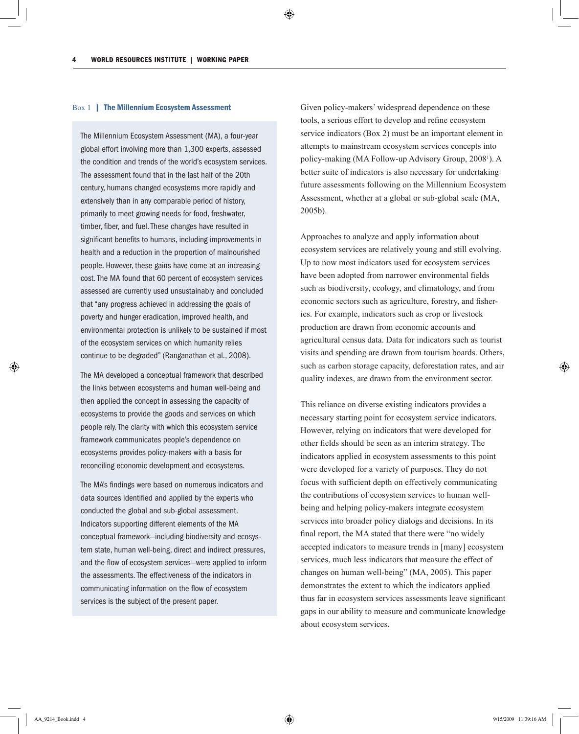#### Box 1 | The Millennium Ecosystem Assessment

The Millennium Ecosystem Assessment (MA), a four-year global effort involving more than 1,300 experts, assessed the condition and trends of the world's ecosystem services. The assessment found that in the last half of the 20th century, humans changed ecosystems more rapidly and extensively than in any comparable period of history, primarily to meet growing needs for food, freshwater, timber, fiber, and fuel. These changes have resulted in significant benefits to humans, including improvements in health and a reduction in the proportion of malnourished people. However, these gains have come at an increasing cost. The MA found that 60 percent of ecosystem services assessed are currently used unsustainably and concluded that "any progress achieved in addressing the goals of poverty and hunger eradication, improved health, and environmental protection is unlikely to be sustained if most of the ecosystem services on which humanity relies continue to be degraded" (Ranganathan et al., 2008).

The MA developed a conceptual framework that described the links between ecosystems and human well-being and then applied the concept in assessing the capacity of ecosystems to provide the goods and services on which people rely. The clarity with which this ecosystem service framework communicates people's dependence on ecosystems provides policy-makers with a basis for reconciling economic development and ecosystems.

The MA's findings were based on numerous indicators and data sources identified and applied by the experts who conducted the global and sub-global assessment. Indicators supporting different elements of the MA conceptual framework—including biodiversity and ecosystem state, human well-being, direct and indirect pressures, and the flow of ecosystem services—were applied to inform the assessments. The effectiveness of the indicators in communicating information on the flow of ecosystem services is the subject of the present paper.

Given policy-makers' widespread dependence on these tools, a serious effort to develop and refine ecosystem service indicators (Box 2) must be an important element in attempts to mainstream ecosystem services concepts into policy-making (MA Follow-up Advisory Group, 2008<sup>1</sup>). A better suite of indicators is also necessary for undertaking future assessments following on the Millennium Ecosystem Assessment, whether at a global or sub-global scale (MA, 2005b).

Approaches to analyze and apply information about ecosystem services are relatively young and still evolving. Up to now most indicators used for ecosystem services have been adopted from narrower environmental fields such as biodiversity, ecology, and climatology, and from economic sectors such as agriculture, forestry, and fisheries. For example, indicators such as crop or livestock production are drawn from economic accounts and agricultural census data. Data for indicators such as tourist visits and spending are drawn from tourism boards. Others, such as carbon storage capacity, deforestation rates, and air quality indexes, are drawn from the environment sector.

This reliance on diverse existing indicators provides a necessary starting point for ecosystem service indicators. However, relying on indicators that were developed for other fields should be seen as an interim strategy. The indicators applied in ecosystem assessments to this point were developed for a variety of purposes. They do not focus with sufficient depth on effectively communicating the contributions of ecosystem services to human wellbeing and helping policy-makers integrate ecosystem services into broader policy dialogs and decisions. In its final report, the MA stated that there were "no widely accepted indicators to measure trends in [many] ecosystem services, much less indicators that measure the effect of changes on human well-being" (MA, 2005). This paper demonstrates the extent to which the indicators applied thus far in ecosystem services assessments leave significant gaps in our ability to measure and communicate knowledge about ecosystem services.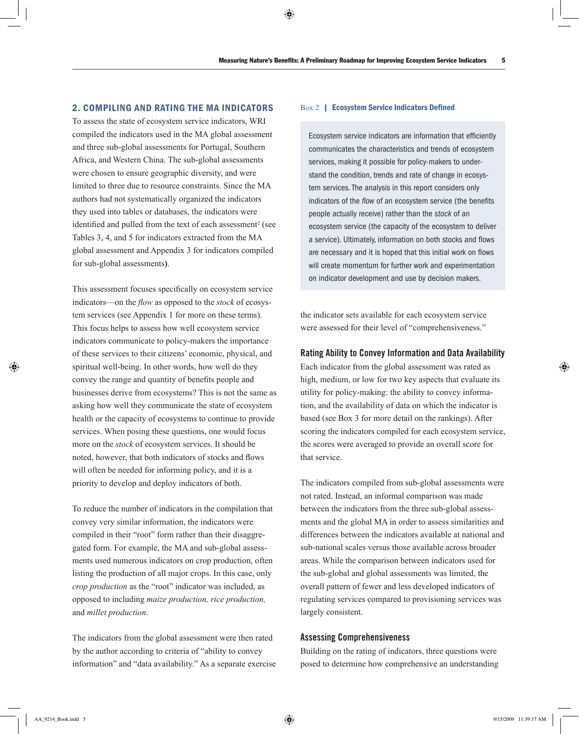## 2. Compiling and Rating the MA Indicators

To assess the state of ecosystem service indicators, WRI compiled the indicators used in the MA global assessment and three sub-global assessments for Portugal, Southern Africa, and Western China. The sub-global assessments were chosen to ensure geographic diversity, and were limited to three due to resource constraints. Since the MA authors had not systematically organized the indicators they used into tables or databases, the indicators were identified and pulled from the text of each assessment<sup>2</sup> (see Tables 3, 4, and 5 for indicators extracted from the MA global assessment and Appendix 3 for indicators compiled for sub-global assessments**)**.

This assessment focuses specifically on ecosystem service indicators—on the *flow* as opposed to the *stock* of ecosystem services (see Appendix 1 for more on these terms). This focus helps to assess how well ecosystem service indicators communicate to policy-makers the importance of these services to their citizens' economic, physical, and spiritual well-being. In other words, how well do they convey the range and quantity of benefits people and businesses derive from ecosystems? This is not the same as asking how well they communicate the state of ecosystem health or the capacity of ecosystems to continue to provide services. When posing these questions, one would focus more on the *stock* of ecosystem services. It should be noted, however, that both indicators of stocks and flows will often be needed for informing policy, and it is a priority to develop and deploy indicators of both.

To reduce the number of indicators in the compilation that convey very similar information, the indicators were compiled in their "root" form rather than their disaggregated form. For example, the MA and sub-global assessments used numerous indicators on crop production, often listing the production of all major crops. In this case, only *crop production* as the "root" indicator was included, as opposed to including *maize production, rice production,*  and *millet production*.

The indicators from the global assessment were then rated by the author according to criteria of "ability to convey information" and "data availability." As a separate exercise

#### Box 2 | Ecosystem Service Indicators Defined

Ecosystem service indicators are information that efficiently communicates the characteristics and trends of ecosystem services, making it possible for policy-makers to understand the condition, trends and rate of change in ecosystem services. The analysis in this report considers only indicators of the *flow* of an ecosystem service (the benefits people actually receive) rather than the *stock* of an ecosystem service (the capacity of the ecosystem to deliver a service). Ultimately, information on both stocks and flows are necessary and it is hoped that this initial work on flows will create momentum for further work and experimentation on indicator development and use by decision makers.

the indicator sets available for each ecosystem service were assessed for their level of "comprehensiveness."

## Rating Ability to Convey Information and Data Availability

Each indicator from the global assessment was rated as high, medium, or low for two key aspects that evaluate its utility for policy-making: the ability to convey information, and the availability of data on which the indicator is based (see Box 3 for more detail on the rankings). After scoring the indicators compiled for each ecosystem service, the scores were averaged to provide an overall score for that service.

The indicators compiled from sub-global assessments were not rated. Instead, an informal comparison was made between the indicators from the three sub-global assessments and the global MA in order to assess similarities and differences between the indicators available at national and sub-national scales versus those available across broader areas. While the comparison between indicators used for the sub-global and global assessments was limited, the overall pattern of fewer and less developed indicators of regulating services compared to provisioning services was largely consistent.

## Assessing Comprehensiveness

Building on the rating of indicators, three questions were posed to determine how comprehensive an understanding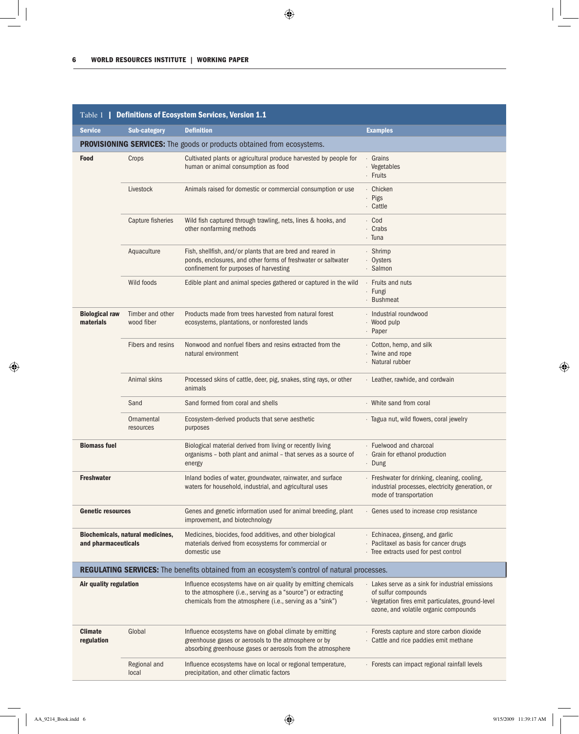| Table 1   Definitions of Ecosystem Services, Version 1.1 |                                  |                                                                                                                                                                                              |                                                                                                                                                                      |  |  |
|----------------------------------------------------------|----------------------------------|----------------------------------------------------------------------------------------------------------------------------------------------------------------------------------------------|----------------------------------------------------------------------------------------------------------------------------------------------------------------------|--|--|
| <b>Service</b>                                           | <b>Sub-category</b>              | <b>Definition</b>                                                                                                                                                                            | <b>Examples</b>                                                                                                                                                      |  |  |
|                                                          |                                  | <b>PROVISIONING SERVICES:</b> The goods or products obtained from ecosystems.                                                                                                                |                                                                                                                                                                      |  |  |
| <b>Food</b>                                              | Crops                            | Cultivated plants or agricultural produce harvested by people for<br>human or animal consumption as food                                                                                     | · Grains<br>· Vegetables<br>· Fruits                                                                                                                                 |  |  |
|                                                          | Livestock                        | Animals raised for domestic or commercial consumption or use                                                                                                                                 | · Chicken<br>· Pigs<br>· Cattle                                                                                                                                      |  |  |
|                                                          | Capture fisheries                | Wild fish captured through trawling, nets, lines & hooks, and<br>other nonfarming methods                                                                                                    | · Cod<br>Crabs<br>· Tuna                                                                                                                                             |  |  |
|                                                          | Aquaculture                      | Fish, shellfish, and/or plants that are bred and reared in<br>ponds, enclosures, and other forms of freshwater or saltwater<br>confinement for purposes of harvesting                        | · Shrimp<br>· Oysters<br>· Salmon                                                                                                                                    |  |  |
|                                                          | Wild foods                       | Edible plant and animal species gathered or captured in the wild                                                                                                                             | Fruits and nuts<br>· Fungi<br>· Bushmeat                                                                                                                             |  |  |
| <b>Biological raw</b><br>materials                       | Timber and other<br>wood fiber   | Products made from trees harvested from natural forest<br>ecosystems, plantations, or nonforested lands                                                                                      | · Industrial roundwood<br>· Wood pulp<br>· Paper                                                                                                                     |  |  |
|                                                          | Fibers and resins                | Nonwood and nonfuel fibers and resins extracted from the<br>natural environment                                                                                                              | Cotton, hemp, and silk<br>· Twine and rope<br>· Natural rubber                                                                                                       |  |  |
|                                                          | Animal skins                     | Processed skins of cattle, deer, pig, snakes, sting rays, or other<br>animals                                                                                                                | · Leather, rawhide, and cordwain                                                                                                                                     |  |  |
|                                                          | Sand                             | Sand formed from coral and shells                                                                                                                                                            | · White sand from coral                                                                                                                                              |  |  |
|                                                          | Ornamental<br>resources          | Ecosystem-derived products that serve aesthetic<br>purposes                                                                                                                                  | · Tagua nut, wild flowers, coral jewelry                                                                                                                             |  |  |
| <b>Biomass fuel</b>                                      |                                  | Biological material derived from living or recently living<br>organisms - both plant and animal - that serves as a source of<br>energy                                                       | · Fuelwood and charcoal<br>· Grain for ethanol production<br>· Dung                                                                                                  |  |  |
| <b>Freshwater</b>                                        |                                  | Inland bodies of water, groundwater, rainwater, and surface<br>waters for household, industrial, and agricultural uses                                                                       | · Freshwater for drinking, cleaning, cooling,<br>industrial processes, electricity generation, or<br>mode of transportation                                          |  |  |
| <b>Genetic resources</b>                                 |                                  | Genes and genetic information used for animal breeding, plant<br>improvement, and biotechnology                                                                                              | . Genes used to increase crop resistance                                                                                                                             |  |  |
| and pharmaceuticals                                      | Biochemicals, natural medicines, | Medicines, biocides, food additives, and other biological<br>materials derived from ecosystems for commercial or<br>domestic use                                                             | · Echinacea, ginseng, and garlic<br>Paclitaxel as basis for cancer drugs<br>· Tree extracts used for pest control                                                    |  |  |
|                                                          |                                  | <b>REGULATING SERVICES:</b> The benefits obtained from an ecosystem's control of natural processes.                                                                                          |                                                                                                                                                                      |  |  |
| Air quality regulation                                   |                                  | Influence ecosystems have on air quality by emitting chemicals<br>to the atmosphere (i.e., serving as a "source") or extracting<br>chemicals from the atmosphere (i.e., serving as a "sink") | Lakes serve as a sink for industrial emissions<br>of sulfur compounds<br>· Vegetation fires emit particulates, ground-level<br>ozone, and volatile organic compounds |  |  |
| <b>Climate</b><br>regulation                             | Global                           | Influence ecosystems have on global climate by emitting<br>greenhouse gases or aerosols to the atmosphere or by<br>absorbing greenhouse gases or aerosols from the atmosphere                | · Forests capture and store carbon dioxide<br>Cattle and rice paddies emit methane                                                                                   |  |  |
|                                                          | Regional and<br>local            | Influence ecosystems have on local or regional temperature,<br>precipitation, and other climatic factors                                                                                     | · Forests can impact regional rainfall levels                                                                                                                        |  |  |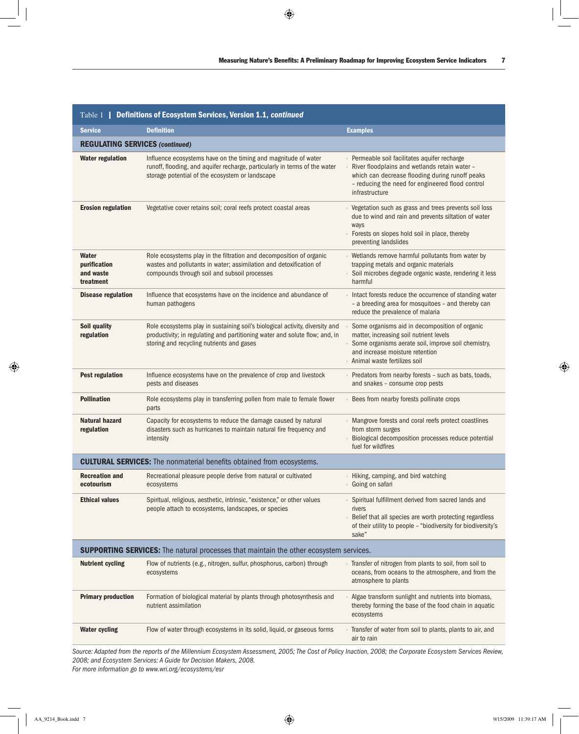| Table 1   Definitions of Ecosystem Services, Version 1.1, continued |                                                                                                                                                                                                          |                                                                                                                                                                                                                       |  |  |  |  |  |
|---------------------------------------------------------------------|----------------------------------------------------------------------------------------------------------------------------------------------------------------------------------------------------------|-----------------------------------------------------------------------------------------------------------------------------------------------------------------------------------------------------------------------|--|--|--|--|--|
| <b>Service</b>                                                      | <b>Definition</b>                                                                                                                                                                                        | <b>Examples</b>                                                                                                                                                                                                       |  |  |  |  |  |
|                                                                     | <b>REGULATING SERVICES (continued)</b>                                                                                                                                                                   |                                                                                                                                                                                                                       |  |  |  |  |  |
| <b>Water regulation</b>                                             | Influence ecosystems have on the timing and magnitude of water<br>runoff, flooding, and aquifer recharge, particularly in terms of the water<br>storage potential of the ecosystem or landscape          | Permeable soil facilitates aquifer recharge<br>River floodplains and wetlands retain water -<br>which can decrease flooding during runoff peaks<br>- reducing the need for engineered flood control<br>infrastructure |  |  |  |  |  |
| <b>Erosion regulation</b>                                           | Vegetative cover retains soil; coral reefs protect coastal areas                                                                                                                                         | Vegetation such as grass and trees prevents soil loss<br>due to wind and rain and prevents siltation of water<br>ways<br>· Forests on slopes hold soil in place, thereby<br>preventing landslides                     |  |  |  |  |  |
| Water<br>purification<br>and waste<br>treatment                     | Role ecosystems play in the filtration and decomposition of organic<br>wastes and pollutants in water; assimilation and detoxification of<br>compounds through soil and subsoil processes                | · Wetlands remove harmful pollutants from water by<br>trapping metals and organic materials<br>Soil microbes degrade organic waste, rendering it less<br>harmful                                                      |  |  |  |  |  |
| <b>Disease regulation</b>                                           | Influence that ecosystems have on the incidence and abundance of<br>human pathogens                                                                                                                      | Intact forests reduce the occurrence of standing water<br>- a breeding area for mosquitoes - and thereby can<br>reduce the prevalence of malaria                                                                      |  |  |  |  |  |
| Soil quality<br>regulation                                          | Role ecosystems play in sustaining soil's biological activity, diversity and<br>productivity; in regulating and partitioning water and solute flow; and, in<br>storing and recycling nutrients and gases | Some organisms aid in decomposition of organic<br>matter, increasing soil nutrient levels<br>Some organisms aerate soil, improve soil chemistry,<br>and increase moisture retention<br>· Animal waste fertilizes soil |  |  |  |  |  |
| <b>Pest regulation</b>                                              | Influence ecosystems have on the prevalence of crop and livestock<br>pests and diseases                                                                                                                  | Predators from nearby forests - such as bats, toads,<br>and snakes - consume crop pests                                                                                                                               |  |  |  |  |  |
| <b>Pollination</b>                                                  | Role ecosystems play in transferring pollen from male to female flower<br>parts                                                                                                                          | Bees from nearby forests pollinate crops<br>$\epsilon$                                                                                                                                                                |  |  |  |  |  |
| Natural hazard<br>regulation                                        | Capacity for ecosystems to reduce the damage caused by natural<br>disasters such as hurricanes to maintain natural fire frequency and<br>intensity                                                       | Mangrove forests and coral reefs protect coastlines<br>from storm surges<br>Biological decomposition processes reduce potential<br>fuel for wildfires                                                                 |  |  |  |  |  |
|                                                                     | <b>CULTURAL SERVICES:</b> The nonmaterial benefits obtained from ecosystems.                                                                                                                             |                                                                                                                                                                                                                       |  |  |  |  |  |
| <b>Recreation and</b><br>ecotourism                                 | Recreational pleasure people derive from natural or cultivated<br>ecosystems                                                                                                                             | · Hiking, camping, and bird watching<br>· Going on safari                                                                                                                                                             |  |  |  |  |  |
| <b>Ethical values</b>                                               | Spiritual, religious, aesthetic, intrinsic, "existence," or other values<br>people attach to ecosystems, landscapes, or species                                                                          | Spiritual fulfillment derived from sacred lands and<br>rivers<br>Belief that all species are worth protecting regardless<br>of their utility to people - "biodiversity for biodiversity's<br>sake"                    |  |  |  |  |  |
|                                                                     | <b>SUPPORTING SERVICES:</b> The natural processes that maintain the other ecosystem services.                                                                                                            |                                                                                                                                                                                                                       |  |  |  |  |  |
| <b>Nutrient cycling</b>                                             | Flow of nutrients (e.g., nitrogen, sulfur, phosphorus, carbon) through<br>ecosystems                                                                                                                     | Transfer of nitrogen from plants to soil, from soil to<br>oceans, from oceans to the atmosphere, and from the<br>atmosphere to plants                                                                                 |  |  |  |  |  |
| <b>Primary production</b>                                           | Formation of biological material by plants through photosynthesis and<br>nutrient assimilation                                                                                                           | Algae transform sunlight and nutrients into biomass,<br>thereby forming the base of the food chain in aquatic<br>ecosystems                                                                                           |  |  |  |  |  |
| <b>Water cycling</b>                                                | Flow of water through ecosystems in its solid, liquid, or gaseous forms                                                                                                                                  | Transfer of water from soil to plants, plants to air, and<br>air to rain                                                                                                                                              |  |  |  |  |  |

*Source: Adapted from the reports of the Millennium Ecosystem Assessment, 2005; The Cost of Policy Inaction, 2008; the Corporate Ecosystem Services Review, 2008; and Ecosystem Services: A Guide for Decision Makers, 2008.*

*For more information go to www.wri.org/ecosystems/esr*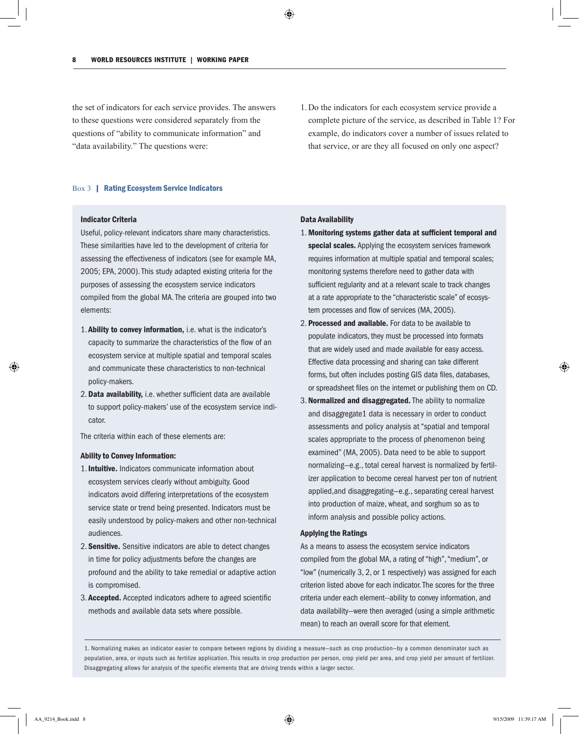the set of indicators for each service provides. The answers to these questions were considered separately from the questions of "ability to communicate information" and "data availability." The questions were:

1. Do the indicators for each ecosystem service provide a complete picture of the service, as described in Table 1? For example, do indicators cover a number of issues related to that service, or are they all focused on only one aspect?

#### Box 3 | Rating Ecosystem Service Indicators

#### Indicator Criteria

Useful, policy-relevant indicators share many characteristics. These similarities have led to the development of criteria for assessing the effectiveness of indicators (see for example MA, 2005; EPA, 2000). This study adapted existing criteria for the purposes of assessing the ecosystem service indicators compiled from the global MA. The criteria are grouped into two elements:

- 1. Ability to convey information, i.e. what is the indicator's capacity to summarize the characteristics of the flow of an ecosystem service at multiple spatial and temporal scales and communicate these characteristics to non-technical policy-makers.
- 2. Data availability, i.e. whether sufficient data are available to support policy-makers' use of the ecosystem service indicator.

The criteria within each of these elements are:

#### Ability to Convey Information:

- 1. Intuitive. Indicators communicate information about ecosystem services clearly without ambiguity. Good indicators avoid differing interpretations of the ecosystem service state or trend being presented. Indicators must be easily understood by policy-makers and other non-technical audiences.
- 2. Sensitive. Sensitive indicators are able to detect changes in time for policy adjustments before the changes are profound and the ability to take remedial or adaptive action is compromised.
- 3. Accepted. Accepted indicators adhere to agreed scientific methods and available data sets where possible.

#### Data Availability

- 1. Monitoring systems gather data at sufficient temporal and special scales. Applying the ecosystem services framework requires information at multiple spatial and temporal scales; monitoring systems therefore need to gather data with sufficient regularity and at a relevant scale to track changes at a rate appropriate to the "characteristic scale" of ecosystem processes and flow of services (MA, 2005).
- 2. Processed and available. For data to be available to populate indicators, they must be processed into formats that are widely used and made available for easy access. Effective data processing and sharing can take different forms, but often includes posting GIS data files, databases, or spreadsheet files on the internet or publishing them on CD.
- 3. Normalized and disaggregated. The ability to normalize and disaggregate1 data is necessary in order to conduct assessments and policy analysis at "spatial and temporal scales appropriate to the process of phenomenon being examined" (MA, 2005). Data need to be able to support normalizing—e.g., total cereal harvest is normalized by fertilizer application to become cereal harvest per ton of nutrient applied,and disaggregating—e.g., separating cereal harvest into production of maize, wheat, and sorghum so as to inform analysis and possible policy actions.

#### Applying the Ratings

As a means to assess the ecosystem service indicators compiled from the global MA, a rating of "high", "medium", or "low" (numerically 3, 2, or 1 respectively) was assigned for each criterion listed above for each indicator. The scores for the three criteria under each element--ability to convey information, and data availability—were then averaged (using a simple arithmetic mean) to reach an overall score for that element.

1. Normalizing makes an indicator easier to compare between regions by dividing a measure—such as crop production—by a common denominator such as population, area, or inputs such as fertilize application. This results in crop production per person, crop yield per area, and crop yield per amount of fertilizer. Disaggregating allows for analysis of the specific elements that are driving trends within a larger sector.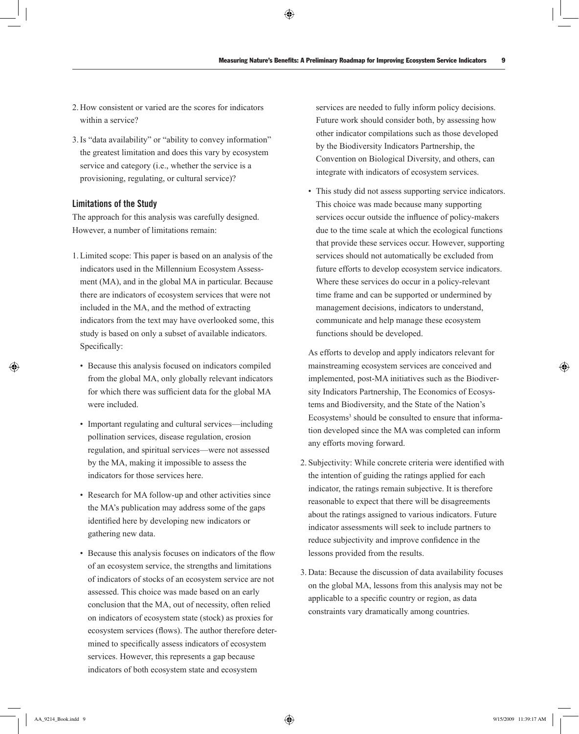- 2. How consistent or varied are the scores for indicators within a service?
- 3.Is "data availability" or "ability to convey information" the greatest limitation and does this vary by ecosystem service and category (i.e., whether the service is a provisioning, regulating, or cultural service)?

## Limitations of the Study

The approach for this analysis was carefully designed. However, a number of limitations remain:

- 1.Limited scope: This paper is based on an analysis of the indicators used in the Millennium Ecosystem Assessment (MA), and in the global MA in particular. Because there are indicators of ecosystem services that were not included in the MA, and the method of extracting indicators from the text may have overlooked some, this study is based on only a subset of available indicators. Specifically:
	- Because this analysis focused on indicators compiled from the global MA, only globally relevant indicators for which there was sufficient data for the global MA were included.
	- Important regulating and cultural services—including pollination services, disease regulation, erosion regulation, and spiritual services—were not assessed by the MA, making it impossible to assess the indicators for those services here.
	- Research for MA follow-up and other activities since the MA's publication may address some of the gaps identified here by developing new indicators or gathering new data.
	- Because this analysis focuses on indicators of the flow of an ecosystem service, the strengths and limitations of indicators of stocks of an ecosystem service are not assessed. This choice was made based on an early conclusion that the MA, out of necessity, often relied on indicators of ecosystem state (stock) as proxies for ecosystem services (flows). The author therefore determined to specifically assess indicators of ecosystem services. However, this represents a gap because indicators of both ecosystem state and ecosystem

services are needed to fully inform policy decisions. Future work should consider both, by assessing how other indicator compilations such as those developed by the Biodiversity Indicators Partnership, the Convention on Biological Diversity, and others, can integrate with indicators of ecosystem services.

• This study did not assess supporting service indicators. This choice was made because many supporting services occur outside the influence of policy-makers due to the time scale at which the ecological functions that provide these services occur. However, supporting services should not automatically be excluded from future efforts to develop ecosystem service indicators. Where these services do occur in a policy-relevant time frame and can be supported or undermined by management decisions, indicators to understand, communicate and help manage these ecosystem functions should be developed.

As efforts to develop and apply indicators relevant for mainstreaming ecosystem services are conceived and implemented, post-MA initiatives such as the Biodiversity Indicators Partnership, The Economics of Ecosystems and Biodiversity, and the State of the Nation's Ecosystems<sup>3</sup> should be consulted to ensure that information developed since the MA was completed can inform any efforts moving forward.

- 2. Subjectivity: While concrete criteria were identified with the intention of guiding the ratings applied for each indicator, the ratings remain subjective. It is therefore reasonable to expect that there will be disagreements about the ratings assigned to various indicators. Future indicator assessments will seek to include partners to reduce subjectivity and improve confidence in the lessons provided from the results.
- 3. Data: Because the discussion of data availability focuses on the global MA, lessons from this analysis may not be applicable to a specific country or region, as data constraints vary dramatically among countries.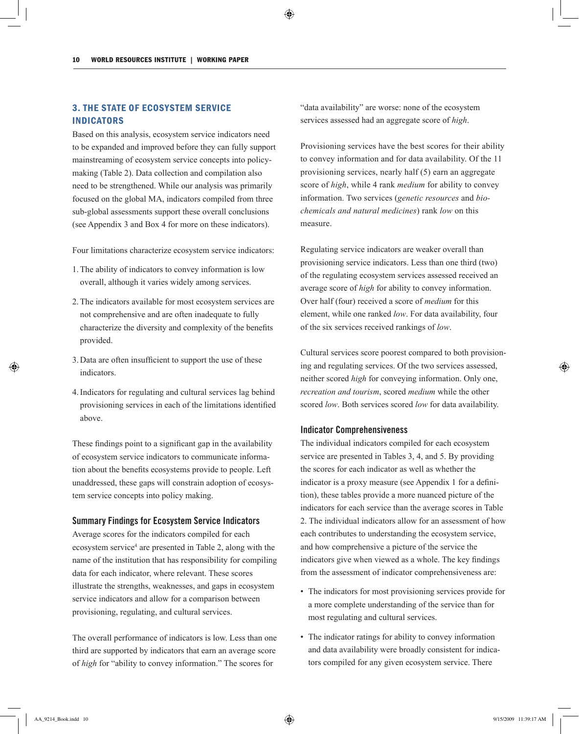## 3. The State of Ecosystem Service **INDICATORS**

Based on this analysis, ecosystem service indicators need to be expanded and improved before they can fully support mainstreaming of ecosystem service concepts into policymaking (Table 2). Data collection and compilation also need to be strengthened. While our analysis was primarily focused on the global MA, indicators compiled from three sub-global assessments support these overall conclusions (see Appendix 3 and Box 4 for more on these indicators).

Four limitations characterize ecosystem service indicators:

- 1.The ability of indicators to convey information is low overall, although it varies widely among services.
- 2.The indicators available for most ecosystem services are not comprehensive and are often inadequate to fully characterize the diversity and complexity of the benefits provided.
- 3. Data are often insufficient to support the use of these indicators.
- 4.Indicators for regulating and cultural services lag behind provisioning services in each of the limitations identified above.

These findings point to a significant gap in the availability of ecosystem service indicators to communicate information about the benefits ecosystems provide to people. Left unaddressed, these gaps will constrain adoption of ecosystem service concepts into policy making.

## Summary Findings for Ecosystem Service Indicators

Average scores for the indicators compiled for each ecosystem service<sup>4</sup> are presented in Table 2, along with the name of the institution that has responsibility for compiling data for each indicator, where relevant. These scores illustrate the strengths, weaknesses, and gaps in ecosystem service indicators and allow for a comparison between provisioning, regulating, and cultural services.

The overall performance of indicators is low. Less than one third are supported by indicators that earn an average score of *high* for "ability to convey information." The scores for

"data availability" are worse: none of the ecosystem services assessed had an aggregate score of *high*.

Provisioning services have the best scores for their ability to convey information and for data availability. Of the 11 provisioning services, nearly half (5) earn an aggregate score of *high*, while 4 rank *medium* for ability to convey information. Two services (*genetic resources* and *biochemicals and natural medicines*) rank *low* on this measure.

Regulating service indicators are weaker overall than provisioning service indicators. Less than one third (two) of the regulating ecosystem services assessed received an average score of *high* for ability to convey information. Over half (four) received a score of *medium* for this element, while one ranked *low*. For data availability, four of the six services received rankings of *low*.

Cultural services score poorest compared to both provisioning and regulating services. Of the two services assessed, neither scored *high* for conveying information. Only one, *recreation and tourism*, scored *medium* while the other scored *low*. Both services scored *low* for data availability.

## Indicator Comprehensiveness

The individual indicators compiled for each ecosystem service are presented in Tables 3, 4, and 5. By providing the scores for each indicator as well as whether the indicator is a proxy measure (see Appendix 1 for a definition), these tables provide a more nuanced picture of the indicators for each service than the average scores in Table 2. The individual indicators allow for an assessment of how each contributes to understanding the ecosystem service, and how comprehensive a picture of the service the indicators give when viewed as a whole. The key findings from the assessment of indicator comprehensiveness are:

- The indicators for most provisioning services provide for a more complete understanding of the service than for most regulating and cultural services.
- The indicator ratings for ability to convey information and data availability were broadly consistent for indicators compiled for any given ecosystem service. There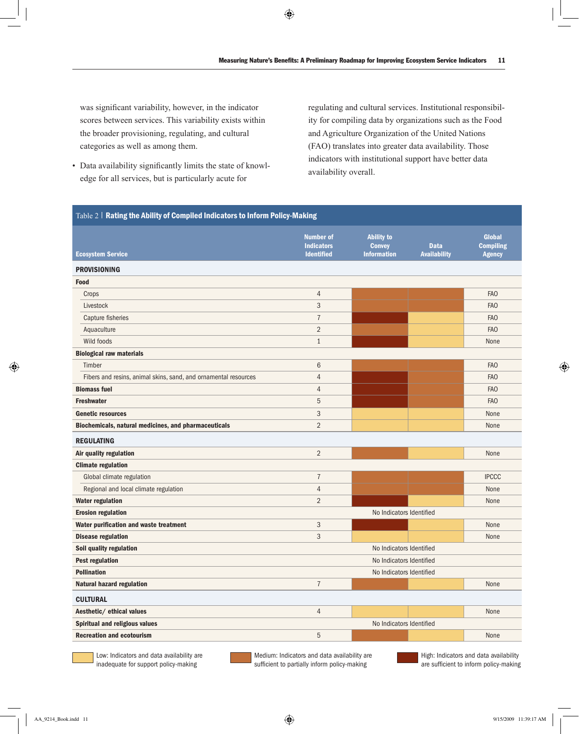was significant variability, however, in the indicator scores between services. This variability exists within the broader provisioning, regulating, and cultural categories as well as among them.

• Data availability significantly limits the state of knowledge for all services, but is particularly acute for

regulating and cultural services. Institutional responsibility for compiling data by organizations such as the Food and Agriculture Organization of the United Nations (FAO) translates into greater data availability. Those indicators with institutional support have better data availability overall.

| Table 2   Rating the Ability of Compiled Indicators to Inform Policy-Making |                                       |                                    |                     |                                   |  |  |  |
|-----------------------------------------------------------------------------|---------------------------------------|------------------------------------|---------------------|-----------------------------------|--|--|--|
|                                                                             | <b>Number of</b><br><b>Indicators</b> | <b>Ability to</b><br><b>Convey</b> | <b>Data</b>         | <b>Global</b><br><b>Compiling</b> |  |  |  |
| <b>Ecosystem Service</b>                                                    | <b>Identified</b>                     | <b>Information</b>                 | <b>Availability</b> | <b>Agency</b>                     |  |  |  |
| <b>PROVISIONING</b>                                                         |                                       |                                    |                     |                                   |  |  |  |
| <b>Food</b>                                                                 |                                       |                                    |                     |                                   |  |  |  |
| Crops                                                                       | 4                                     |                                    |                     | FAO                               |  |  |  |
| Livestock                                                                   | 3                                     |                                    |                     | FA <sub>O</sub>                   |  |  |  |
| Capture fisheries                                                           | $\overline{7}$                        |                                    |                     | FA <sub>O</sub>                   |  |  |  |
| Aquaculture                                                                 | $\overline{2}$                        |                                    |                     | FA <sub>O</sub>                   |  |  |  |
| Wild foods                                                                  | $\mathbf{1}$                          |                                    |                     | None                              |  |  |  |
| <b>Biological raw materials</b>                                             |                                       |                                    |                     |                                   |  |  |  |
| Timber                                                                      | 6                                     |                                    |                     | FA <sub>O</sub>                   |  |  |  |
| Fibers and resins, animal skins, sand, and ornamental resources             | 4                                     |                                    |                     | FA <sub>O</sub>                   |  |  |  |
| <b>Biomass fuel</b>                                                         | $\overline{4}$                        |                                    |                     | FA <sub>O</sub>                   |  |  |  |
| <b>Freshwater</b>                                                           | 5                                     |                                    |                     | FAO                               |  |  |  |
| <b>Genetic resources</b>                                                    | 3                                     |                                    |                     | None                              |  |  |  |
| Biochemicals, natural medicines, and pharmaceuticals                        | $\overline{2}$                        |                                    |                     | None                              |  |  |  |
| <b>REGULATING</b>                                                           |                                       |                                    |                     |                                   |  |  |  |
| Air quality regulation                                                      | $\overline{2}$                        |                                    |                     | None                              |  |  |  |
| <b>Climate regulation</b>                                                   |                                       |                                    |                     |                                   |  |  |  |
| Global climate regulation                                                   | $\overline{7}$                        |                                    |                     | <b>IPCCC</b>                      |  |  |  |
| Regional and local climate regulation                                       | 4                                     |                                    |                     | None                              |  |  |  |
| <b>Water regulation</b>                                                     | $\overline{2}$                        |                                    |                     | None                              |  |  |  |
| <b>Erosion regulation</b>                                                   |                                       | No Indicators Identified           |                     |                                   |  |  |  |
| Water purification and waste treatment                                      | 3                                     |                                    |                     | None                              |  |  |  |
| <b>Disease regulation</b>                                                   | 3                                     |                                    |                     | None                              |  |  |  |
| Soil quality regulation                                                     |                                       | No Indicators Identified           |                     |                                   |  |  |  |
| <b>Pest regulation</b>                                                      |                                       | No Indicators Identified           |                     |                                   |  |  |  |
| <b>Pollination</b>                                                          | No Indicators Identified              |                                    |                     |                                   |  |  |  |
| <b>Natural hazard regulation</b>                                            | $\overline{7}$                        |                                    |                     | None                              |  |  |  |
| <b>CULTURAL</b>                                                             |                                       |                                    |                     |                                   |  |  |  |
| Aesthetic/ ethical values                                                   | $\overline{4}$                        |                                    |                     | None                              |  |  |  |
| Spiritual and religious values                                              |                                       | No Indicators Identified           |                     |                                   |  |  |  |
| <b>Recreation and ecotourism</b>                                            | 5                                     |                                    |                     | None                              |  |  |  |
|                                                                             |                                       |                                    |                     |                                   |  |  |  |

Low: Indicators and data availability are inadequate for support policy-making

Medium: Indicators and data availability are sufficient to partially inform policy-making

High: Indicators and data availability are sufficient to inform policy-making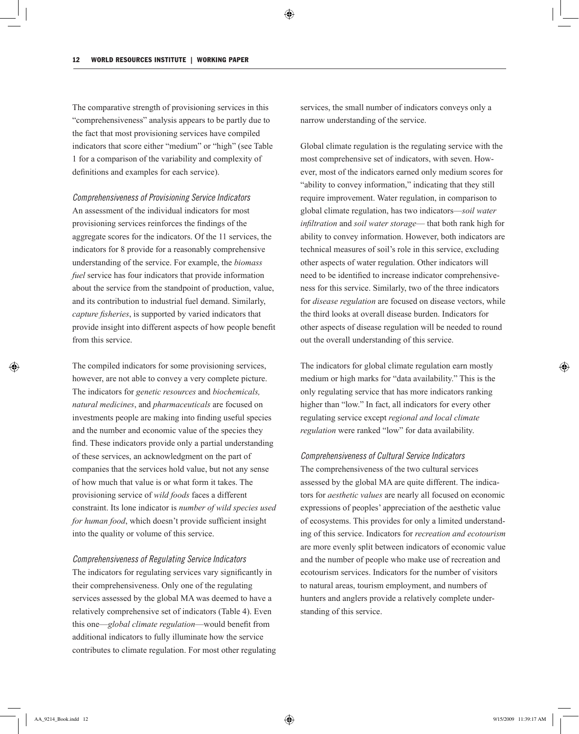The comparative strength of provisioning services in this "comprehensiveness" analysis appears to be partly due to the fact that most provisioning services have compiled indicators that score either "medium" or "high" (see Table 1 for a comparison of the variability and complexity of definitions and examples for each service).

*Comprehensiveness of Provisioning Service Indicators* An assessment of the individual indicators for most provisioning services reinforces the findings of the aggregate scores for the indicators. Of the 11 services, the indicators for 8 provide for a reasonably comprehensive understanding of the service. For example, the *biomass fuel* service has four indicators that provide information about the service from the standpoint of production, value, and its contribution to industrial fuel demand. Similarly, *capture fisheries*, is supported by varied indicators that provide insight into different aspects of how people benefit from this service.

The compiled indicators for some provisioning services, however, are not able to convey a very complete picture. The indicators for *genetic resources* and *biochemicals, natural medicines*, and *pharmaceuticals* are focused on investments people are making into finding useful species and the number and economic value of the species they find. These indicators provide only a partial understanding of these services, an acknowledgment on the part of companies that the services hold value, but not any sense of how much that value is or what form it takes. The provisioning service of *wild foods* faces a different constraint. Its lone indicator is *number of wild species used for human food*, which doesn't provide sufficient insight into the quality or volume of this service.

## *Comprehensiveness of Regulating Service Indicators*

The indicators for regulating services vary significantly in their comprehensiveness. Only one of the regulating services assessed by the global MA was deemed to have a relatively comprehensive set of indicators (Table 4). Even this one—*global climate regulation*—would benefit from additional indicators to fully illuminate how the service contributes to climate regulation. For most other regulating services, the small number of indicators conveys only a narrow understanding of the service.

Global climate regulation is the regulating service with the most comprehensive set of indicators, with seven. However, most of the indicators earned only medium scores for "ability to convey information," indicating that they still require improvement. Water regulation, in comparison to global climate regulation, has two indicators—*soil water infiltration* and *soil water storage*— that both rank high for ability to convey information. However, both indicators are technical measures of soil's role in this service, excluding other aspects of water regulation. Other indicators will need to be identified to increase indicator comprehensiveness for this service. Similarly, two of the three indicators for *disease regulation* are focused on disease vectors, while the third looks at overall disease burden. Indicators for other aspects of disease regulation will be needed to round out the overall understanding of this service.

The indicators for global climate regulation earn mostly medium or high marks for "data availability." This is the only regulating service that has more indicators ranking higher than "low." In fact, all indicators for every other regulating service except *regional and local climate regulation* were ranked "low" for data availability.

#### *Comprehensiveness of Cultural Service Indicators*

The comprehensiveness of the two cultural services assessed by the global MA are quite different. The indicators for *aesthetic values* are nearly all focused on economic expressions of peoples' appreciation of the aesthetic value of ecosystems. This provides for only a limited understanding of this service. Indicators for *recreation and ecotourism* are more evenly split between indicators of economic value and the number of people who make use of recreation and ecotourism services. Indicators for the number of visitors to natural areas, tourism employment, and numbers of hunters and anglers provide a relatively complete understanding of this service.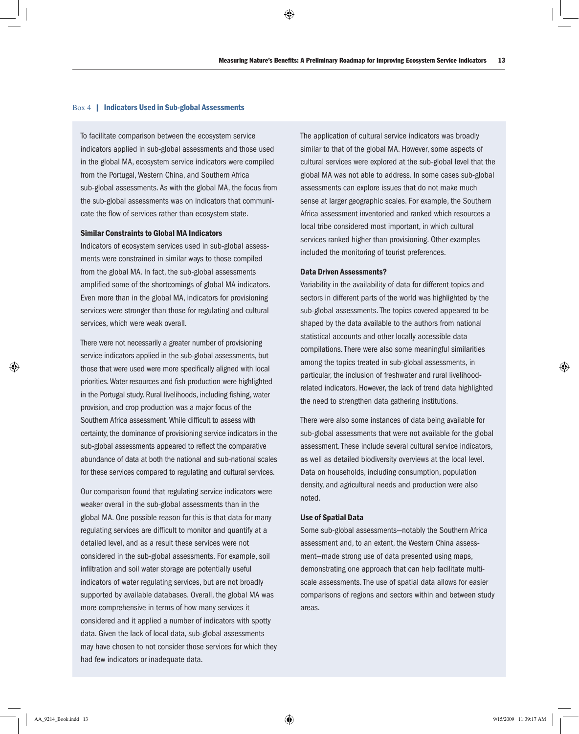#### Box 4 | Indicators Used in Sub-global Assessments

To facilitate comparison between the ecosystem service indicators applied in sub-global assessments and those used in the global MA, ecosystem service indicators were compiled from the Portugal, Western China, and Southern Africa sub-global assessments. As with the global MA, the focus from the sub-global assessments was on indicators that communicate the flow of services rather than ecosystem state.

#### Similar Constraints to Global MA Indicators

Indicators of ecosystem services used in sub-global assessments were constrained in similar ways to those compiled from the global MA. In fact, the sub-global assessments amplified some of the shortcomings of global MA indicators. Even more than in the global MA, indicators for provisioning services were stronger than those for regulating and cultural services, which were weak overall.

There were not necessarily a greater number of provisioning service indicators applied in the sub-global assessments, but those that were used were more specifically aligned with local priorities. Water resources and fish production were highlighted in the Portugal study. Rural livelihoods, including fishing, water provision, and crop production was a major focus of the Southern Africa assessment. While difficult to assess with certainty, the dominance of provisioning service indicators in the sub-global assessments appeared to reflect the comparative abundance of data at both the national and sub-national scales for these services compared to regulating and cultural services.

Our comparison found that regulating service indicators were weaker overall in the sub-global assessments than in the global MA. One possible reason for this is that data for many regulating services are difficult to monitor and quantify at a detailed level, and as a result these services were not considered in the sub-global assessments. For example, soil infiltration and soil water storage are potentially useful indicators of water regulating services, but are not broadly supported by available databases. Overall, the global MA was more comprehensive in terms of how many services it considered and it applied a number of indicators with spotty data. Given the lack of local data, sub-global assessments may have chosen to not consider those services for which they had few indicators or inadequate data.

The application of cultural service indicators was broadly similar to that of the global MA. However, some aspects of cultural services were explored at the sub-global level that the global MA was not able to address. In some cases sub-global assessments can explore issues that do not make much sense at larger geographic scales. For example, the Southern Africa assessment inventoried and ranked which resources a local tribe considered most important, in which cultural services ranked higher than provisioning. Other examples included the monitoring of tourist preferences.

#### Data Driven Assessments?

Variability in the availability of data for different topics and sectors in different parts of the world was highlighted by the sub-global assessments. The topics covered appeared to be shaped by the data available to the authors from national statistical accounts and other locally accessible data compilations. There were also some meaningful similarities among the topics treated in sub-global assessments, in particular, the inclusion of freshwater and rural livelihoodrelated indicators. However, the lack of trend data highlighted the need to strengthen data gathering institutions.

There were also some instances of data being available for sub-global assessments that were not available for the global assessment. These include several cultural service indicators, as well as detailed biodiversity overviews at the local level. Data on households, including consumption, population density, and agricultural needs and production were also noted.

## Use of Spatial Data

Some sub-global assessments—notably the Southern Africa assessment and, to an extent, the Western China assessment—made strong use of data presented using maps, demonstrating one approach that can help facilitate multiscale assessments. The use of spatial data allows for easier comparisons of regions and sectors within and between study areas.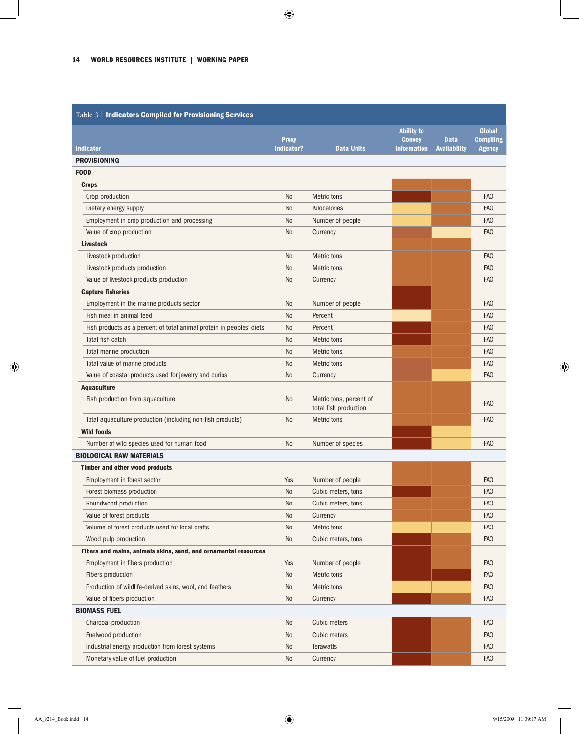| Table 3   Indicators Compiled for Provisioning Services              |                            |                                                  |                                     |                                    |                                   |
|----------------------------------------------------------------------|----------------------------|--------------------------------------------------|-------------------------------------|------------------------------------|-----------------------------------|
|                                                                      |                            |                                                  | <b>Ability to</b>                   |                                    | <b>Global</b>                     |
| <b>Indicator</b>                                                     | <b>Proxy</b><br>Indicator? | <b>Data Units</b>                                | <b>Convey</b><br><b>Information</b> | <b>Data</b><br><b>Availability</b> | <b>Compiling</b><br><b>Agency</b> |
| <b>PROVISIONING</b>                                                  |                            |                                                  |                                     |                                    |                                   |
| <b>FOOD</b>                                                          |                            |                                                  |                                     |                                    |                                   |
| <b>Crops</b>                                                         |                            |                                                  |                                     |                                    |                                   |
| Crop production                                                      | No                         | Metric tons                                      |                                     |                                    | FA <sub>O</sub>                   |
| Dietary energy supply                                                | N <sub>o</sub>             | Kilocalories                                     |                                     |                                    | FA <sub>O</sub>                   |
| Employment in crop production and processing                         | N <sub>o</sub>             | Number of people                                 |                                     |                                    | FA <sub>O</sub>                   |
| Value of crop production                                             | N <sub>o</sub>             | Currency                                         |                                     |                                    | FA <sub>O</sub>                   |
| <b>Livestock</b>                                                     |                            |                                                  |                                     |                                    |                                   |
| Livestock production                                                 | N <sub>o</sub>             | Metric tons                                      |                                     |                                    | FA <sub>O</sub>                   |
| Livestock products production                                        | N <sub>o</sub>             | Metric tons                                      |                                     |                                    | FA <sub>O</sub>                   |
| Value of livestock products production                               | N <sub>o</sub>             | Currency                                         |                                     |                                    | FA <sub>O</sub>                   |
| <b>Capture fisheries</b>                                             |                            |                                                  |                                     |                                    |                                   |
| Employment in the marine products sector                             | N <sub>o</sub>             | Number of people                                 |                                     |                                    | FA <sub>O</sub>                   |
| Fish meal in animal feed                                             | N <sub>o</sub>             | Percent                                          |                                     |                                    | FA <sub>O</sub>                   |
| Fish products as a percent of total animal protein in peoples' diets | No                         | Percent                                          |                                     |                                    | FA <sub>O</sub>                   |
| Total fish catch                                                     | No                         | Metric tons                                      |                                     |                                    | FA <sub>0</sub>                   |
| Total marine production                                              | No                         | Metric tons                                      |                                     |                                    | FA <sub>O</sub>                   |
| Total value of marine products                                       | No                         | Metric tons                                      |                                     |                                    | FA <sub>O</sub>                   |
| Value of coastal products used for jewelry and curios                | No                         | Currency                                         |                                     |                                    | FA <sub>O</sub>                   |
| <b>Aquaculture</b>                                                   |                            |                                                  |                                     |                                    |                                   |
| Fish production from aquaculture                                     | No                         | Metric tons, percent of<br>total fish production |                                     |                                    | FA <sub>O</sub>                   |
| Total aquaculture production (including non-fish products)           | No                         | Metric tons                                      |                                     |                                    | FA <sub>O</sub>                   |
| <b>Wild foods</b>                                                    |                            |                                                  |                                     |                                    |                                   |
| Number of wild species used for human food                           | N <sub>o</sub>             | Number of species                                |                                     |                                    | FA <sub>O</sub>                   |
| <b>BIOLOGICAL RAW MATERIALS</b>                                      |                            |                                                  |                                     |                                    |                                   |
| <b>Timber and other wood products</b>                                |                            |                                                  |                                     |                                    |                                   |
| Employment in forest sector                                          | Yes                        | Number of people                                 |                                     |                                    | FA <sub>O</sub>                   |
| Forest biomass production                                            | No                         | Cubic meters, tons                               |                                     |                                    | <b>FAO</b>                        |
| Roundwood production                                                 | N <sub>0</sub>             | Cubic meters, tons                               |                                     |                                    | FA <sub>O</sub>                   |
| Value of forest products                                             | N <sub>o</sub>             | Currency                                         |                                     |                                    | FAO                               |
| Volume of forest products used for local crafts                      | N <sub>o</sub>             | Metric tons                                      |                                     |                                    | FAO                               |
| Wood pulp production                                                 | No                         | Cubic meters, tons                               |                                     |                                    | FA <sub>O</sub>                   |
| Fibers and resins, animals skins, sand, and ornamental resources     |                            |                                                  |                                     |                                    |                                   |
| Employment in fibers production                                      | Yes                        | Number of people                                 |                                     |                                    | FA <sub>O</sub>                   |
| Fibers production                                                    | N <sub>o</sub>             | Metric tons                                      |                                     |                                    | FA <sub>O</sub>                   |
| Production of wildlife-derived skins, wool, and feathers             | N <sub>o</sub>             | Metric tons                                      |                                     |                                    | FAO                               |
| Value of fibers production                                           | No                         | Currency                                         |                                     |                                    | <b>FAO</b>                        |
| <b>BIOMASS FUEL</b>                                                  |                            |                                                  |                                     |                                    |                                   |
| Charcoal production                                                  | No                         | Cubic meters                                     |                                     |                                    | FA <sub>O</sub>                   |
| Fuelwood production                                                  | N <sub>o</sub>             | Cubic meters                                     |                                     |                                    | FAO                               |
| Industrial energy production from forest systems                     | No                         | <b>Terawatts</b>                                 |                                     |                                    | FA <sub>O</sub>                   |
| Monetary value of fuel production                                    | No                         | Currency                                         |                                     |                                    | <b>FAO</b>                        |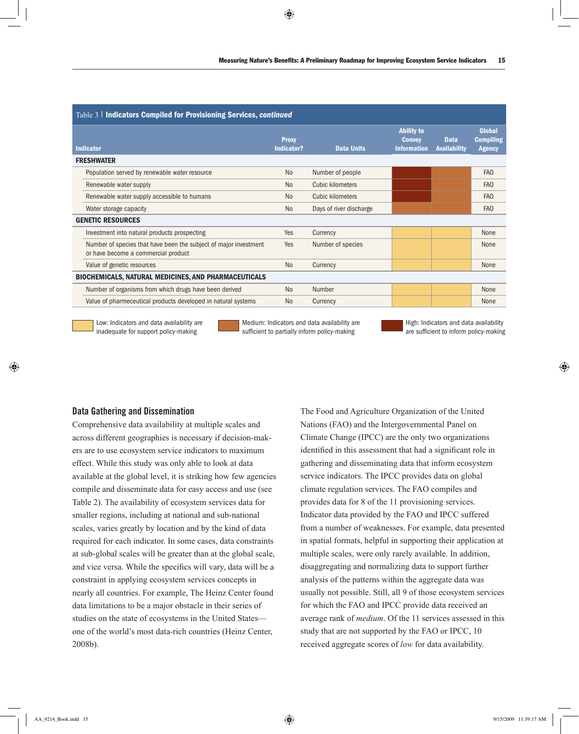| Table 3   Indicators Compiled for Provisioning Services, continued |                                                                                                         |                            |                         |                                                          |                             |                                             |  |
|--------------------------------------------------------------------|---------------------------------------------------------------------------------------------------------|----------------------------|-------------------------|----------------------------------------------------------|-----------------------------|---------------------------------------------|--|
|                                                                    | <b>Indicator</b>                                                                                        | <b>Proxy</b><br>Indicator? | <b>Data Units</b>       | <b>Ability to</b><br><b>Convey</b><br><b>Information</b> | <b>Data</b><br>Availability | Global<br><b>Compiling</b><br><b>Agency</b> |  |
|                                                                    | <b>FRESHWATER</b>                                                                                       |                            |                         |                                                          |                             |                                             |  |
|                                                                    | Population served by renewable water resource                                                           | N <sub>o</sub>             | Number of people        |                                                          |                             | <b>FAO</b>                                  |  |
|                                                                    | Renewable water supply                                                                                  | N <sub>o</sub>             | Cubic kilometers        |                                                          |                             | FA <sub>O</sub>                             |  |
|                                                                    | Renewable water supply accessible to humans                                                             | N <sub>0</sub>             | Cubic kilometers        |                                                          |                             | FA <sub>O</sub>                             |  |
|                                                                    | Water storage capacity                                                                                  | N <sub>o</sub>             | Days of river discharge |                                                          |                             | FA <sub>O</sub>                             |  |
|                                                                    | <b>GENETIC RESOURCES</b>                                                                                |                            |                         |                                                          |                             |                                             |  |
|                                                                    | Investment into natural products prospecting                                                            | Yes                        | Currency                |                                                          |                             | None                                        |  |
|                                                                    | Number of species that have been the subject of major investment<br>or have become a commercial product | Yes                        | Number of species       |                                                          |                             | None                                        |  |
|                                                                    | Value of genetic resources                                                                              | N <sub>0</sub>             | Currency                |                                                          |                             | None                                        |  |
|                                                                    | <b>BIOCHEMICALS, NATURAL MEDICINES, AND PHARMACEUTICALS</b>                                             |                            |                         |                                                          |                             |                                             |  |
|                                                                    | Number of organisms from which drugs have been derived                                                  | N <sub>0</sub>             | Number                  |                                                          |                             | None                                        |  |
|                                                                    | Value of pharmeceutical products developed in natural systems                                           | N <sub>o</sub>             | Currency                |                                                          |                             | None                                        |  |
|                                                                    |                                                                                                         |                            |                         |                                                          |                             |                                             |  |

Low: Indicators and data availability are inadequate for support policy-making

Medium: Indicators and data availability are sufficient to partially inform policy-making

## Data Gathering and Dissemination

Comprehensive data availability at multiple scales and across different geographies is necessary if decision-makers are to use ecosystem service indicators to maximum effect. While this study was only able to look at data available at the global level, it is striking how few agencies compile and disseminate data for easy access and use (see Table 2). The availability of ecosystem services data for smaller regions, including at national and sub-national scales, varies greatly by location and by the kind of data required for each indicator. In some cases, data constraints at sub-global scales will be greater than at the global scale, and vice versa. While the specifics will vary, data will be a constraint in applying ecosystem services concepts in nearly all countries. For example, The Heinz Center found data limitations to be a major obstacle in their series of studies on the state of ecosystems in the United States one of the world's most data-rich countries (Heinz Center, 2008b).

The Food and Agriculture Organization of the United Nations (FAO) and the Intergovernmental Panel on Climate Change (IPCC) are the only two organizations identified in this assessment that had a significant role in gathering and disseminating data that inform ecosystem service indicators. The IPCC provides data on global climate regulation services. The FAO compiles and provides data for 8 of the 11 provisioning services. Indicator data provided by the FAO and IPCC suffered from a number of weaknesses. For example, data presented in spatial formats, helpful in supporting their application at multiple scales, were only rarely available. In addition, disaggregating and normalizing data to support further analysis of the patterns within the aggregate data was usually not possible. Still, all 9 of those ecosystem services for which the FAO and IPCC provide data received an average rank of *medium*. Of the 11 services assessed in this study that are not supported by the FAO or IPCC, 10 received aggregate scores of *low* for data availability.

High: Indicators and data availability are sufficient to inform policy-making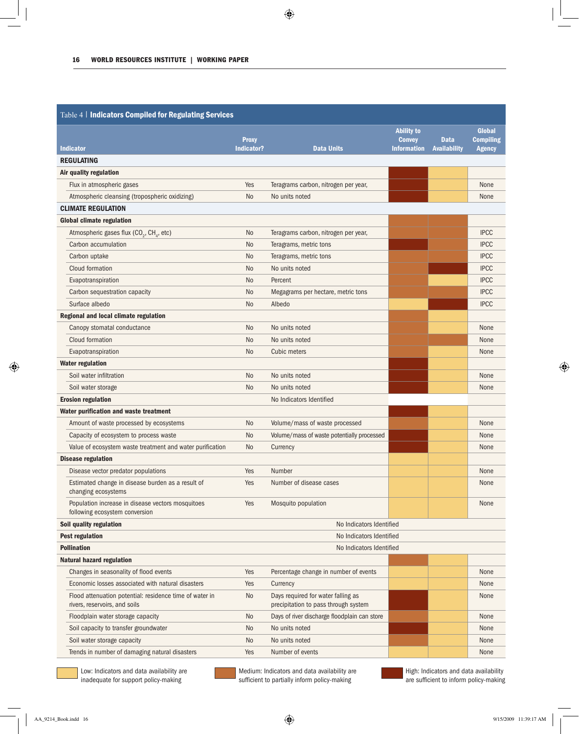| Table 4   Indicators Compiled for Regulating Services |                                                                                          |                            |                                                                            |                                                          |                                    |                                             |
|-------------------------------------------------------|------------------------------------------------------------------------------------------|----------------------------|----------------------------------------------------------------------------|----------------------------------------------------------|------------------------------------|---------------------------------------------|
|                                                       | <b>Indicator</b>                                                                         | <b>Proxy</b><br>Indicator? | <b>Data Units</b>                                                          | <b>Ability to</b><br><b>Convey</b><br><b>Information</b> | <b>Data</b><br><b>Availability</b> | Global<br><b>Compiling</b><br><b>Agency</b> |
|                                                       | <b>REGULATING</b>                                                                        |                            |                                                                            |                                                          |                                    |                                             |
|                                                       | Air quality regulation                                                                   |                            |                                                                            |                                                          |                                    |                                             |
|                                                       | Flux in atmospheric gases                                                                | Yes                        | Teragrams carbon, nitrogen per year,                                       |                                                          |                                    | None                                        |
|                                                       | Atmospheric cleansing (tropospheric oxidizing)                                           | N <sub>o</sub>             | No units noted                                                             |                                                          |                                    | None                                        |
|                                                       | <b>CLIMATE REGULATION</b>                                                                |                            |                                                                            |                                                          |                                    |                                             |
|                                                       | <b>Global climate regulation</b>                                                         |                            |                                                                            |                                                          |                                    |                                             |
|                                                       | Atmospheric gases flux (CO <sub>2</sub> , CH <sub>4</sub> , etc)                         | <b>No</b>                  | Teragrams carbon, nitrogen per year,                                       |                                                          |                                    | <b>IPCC</b>                                 |
|                                                       | Carbon accumulation                                                                      | <b>No</b>                  | Teragrams, metric tons                                                     |                                                          |                                    | <b>IPCC</b>                                 |
|                                                       | Carbon uptake                                                                            | No                         | Teragrams, metric tons                                                     |                                                          |                                    | <b>IPCC</b>                                 |
|                                                       | Cloud formation                                                                          | No                         | No units noted                                                             |                                                          |                                    | <b>IPCC</b>                                 |
|                                                       | Evapotranspiration                                                                       | No                         | Percent                                                                    |                                                          |                                    | <b>IPCC</b>                                 |
|                                                       | Carbon sequestration capacity                                                            | No                         | Megagrams per hectare, metric tons                                         |                                                          |                                    | <b>IPCC</b>                                 |
|                                                       | Surface albedo                                                                           | No                         | Albedo                                                                     |                                                          |                                    | <b>IPCC</b>                                 |
|                                                       | Regional and local climate regulation                                                    |                            |                                                                            |                                                          |                                    |                                             |
|                                                       | Canopy stomatal conductance                                                              | N <sub>o</sub>             | No units noted                                                             |                                                          |                                    | None                                        |
|                                                       | Cloud formation                                                                          | No                         | No units noted                                                             |                                                          |                                    | None                                        |
|                                                       | Evapotranspiration                                                                       | N <sub>o</sub>             | Cubic meters                                                               |                                                          |                                    | None                                        |
|                                                       | <b>Water regulation</b>                                                                  |                            |                                                                            |                                                          |                                    |                                             |
|                                                       | Soil water infiltration                                                                  | No                         | No units noted                                                             |                                                          |                                    | None                                        |
|                                                       | Soil water storage                                                                       | N <sub>o</sub>             | No units noted                                                             |                                                          |                                    | None                                        |
|                                                       | <b>Erosion regulation</b>                                                                |                            | No Indicators Identified                                                   |                                                          |                                    |                                             |
|                                                       | Water purification and waste treatment                                                   |                            |                                                                            |                                                          |                                    |                                             |
|                                                       | Amount of waste processed by ecosystems                                                  | No                         | Volume/mass of waste processed                                             |                                                          |                                    | None                                        |
|                                                       | Capacity of ecosystem to process waste                                                   | No                         | Volume/mass of waste potentially processed                                 |                                                          |                                    | None                                        |
|                                                       | Value of ecosystem waste treatment and water purification                                | No                         | Currency                                                                   |                                                          |                                    | None                                        |
|                                                       | <b>Disease regulation</b>                                                                |                            |                                                                            |                                                          |                                    |                                             |
|                                                       | Disease vector predator populations                                                      | Yes                        | Number                                                                     |                                                          |                                    | None                                        |
|                                                       | Estimated change in disease burden as a result of<br>changing ecosystems                 | Yes                        | Number of disease cases                                                    |                                                          |                                    | None                                        |
|                                                       | Population increase in disease vectors mosquitoes<br>following ecosystem conversion      | Yes                        | Mosquito population                                                        |                                                          |                                    | None                                        |
|                                                       | Soil quality regulation                                                                  |                            | No Indicators Identified                                                   |                                                          |                                    |                                             |
|                                                       | <b>Pest regulation</b>                                                                   |                            | No Indicators Identified                                                   |                                                          |                                    |                                             |
|                                                       | <b>Pollination</b>                                                                       |                            | No Indicators Identified                                                   |                                                          |                                    |                                             |
|                                                       | <b>Natural hazard regulation</b>                                                         |                            |                                                                            |                                                          |                                    |                                             |
|                                                       | Changes in seasonality of flood events                                                   | Yes                        | Percentage change in number of events                                      |                                                          |                                    | None                                        |
|                                                       | Economic losses associated with natural disasters                                        | Yes                        | Currency                                                                   |                                                          |                                    | None                                        |
|                                                       | Flood attenuation potential: residence time of water in<br>rivers, reservoirs, and soils | No                         | Days required for water falling as<br>precipitation to pass through system |                                                          |                                    | None                                        |
|                                                       | Floodplain water storage capacity                                                        | No                         | Days of river discharge floodplain can store                               |                                                          |                                    | None                                        |
|                                                       | Soil capacity to transfer groundwater                                                    | No                         | No units noted                                                             |                                                          |                                    | None                                        |
|                                                       | Soil water storage capacity                                                              | No                         | No units noted                                                             |                                                          |                                    | None                                        |
|                                                       | Trends in number of damaging natural disasters                                           | Yes                        | Number of events                                                           |                                                          |                                    | None                                        |

Low: Indicators and data availability are inadequate for support policy-making

Medium: Indicators and data availability are sufficient to partially inform policy-making

High: Indicators and data availability are sufficient to inform policy-making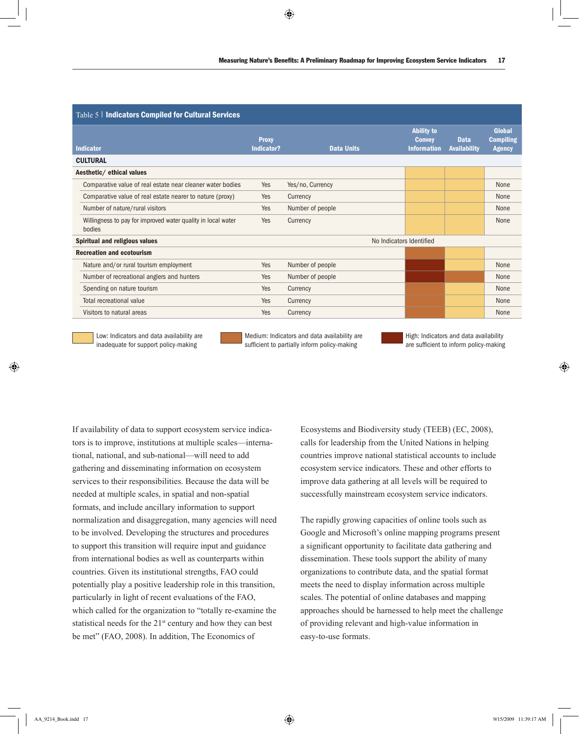| Table 5   Indicators Compiled for Cultural Services                    |                            |                          |                                                          |                                    |                                                    |  |  |
|------------------------------------------------------------------------|----------------------------|--------------------------|----------------------------------------------------------|------------------------------------|----------------------------------------------------|--|--|
| <b>Indicator</b>                                                       | <b>Proxy</b><br>Indicator? | <b>Data Units</b>        | <b>Ability to</b><br><b>Convey</b><br><b>Information</b> | <b>Data</b><br><b>Availability</b> | <b>Global</b><br><b>Compiling</b><br><b>Agency</b> |  |  |
| <b>CULTURAL</b>                                                        |                            |                          |                                                          |                                    |                                                    |  |  |
| Aesthetic/ ethical values                                              |                            |                          |                                                          |                                    |                                                    |  |  |
| Comparative value of real estate near cleaner water bodies             | Yes                        | Yes/no, Currency         |                                                          |                                    | None                                               |  |  |
| Comparative value of real estate nearer to nature (proxy)              | Yes                        | Currency                 |                                                          |                                    | None                                               |  |  |
| Number of nature/rural visitors                                        | Yes                        | Number of people         |                                                          |                                    | None                                               |  |  |
| Willingness to pay for improved water quality in local water<br>bodies | Yes                        | Currency                 |                                                          |                                    | None                                               |  |  |
| Spiritual and religious values                                         |                            | No Indicators Identified |                                                          |                                    |                                                    |  |  |
| <b>Recreation and ecotourism</b>                                       |                            |                          |                                                          |                                    |                                                    |  |  |
| Nature and/or rural tourism employment                                 | Yes                        | Number of people         |                                                          |                                    | None                                               |  |  |
| Number of recreational anglers and hunters                             | Yes                        | Number of people         |                                                          |                                    | None                                               |  |  |
| Spending on nature tourism                                             | Yes                        | Currency                 |                                                          |                                    | None                                               |  |  |
| Total recreational value                                               | Yes                        | Currency                 |                                                          |                                    | None                                               |  |  |
| Visitors to natural areas                                              | Yes                        | Currency                 |                                                          |                                    | None                                               |  |  |

Low: Indicators and data availability are inadequate for support policy-making

Medium: Indicators and data availability are sufficient to partially inform policy-making

High: Indicators and data availability are sufficient to inform policy-making

If availability of data to support ecosystem service indicators is to improve, institutions at multiple scales—international, national, and sub-national—will need to add gathering and disseminating information on ecosystem services to their responsibilities. Because the data will be needed at multiple scales, in spatial and non-spatial formats, and include ancillary information to support normalization and disaggregation, many agencies will need to be involved. Developing the structures and procedures to support this transition will require input and guidance from international bodies as well as counterparts within countries. Given its institutional strengths, FAO could potentially play a positive leadership role in this transition, particularly in light of recent evaluations of the FAO, which called for the organization to "totally re-examine the statistical needs for the 21<sup>st</sup> century and how they can best be met" (FAO, 2008). In addition, The Economics of

Ecosystems and Biodiversity study (TEEB) (EC, 2008), calls for leadership from the United Nations in helping countries improve national statistical accounts to include ecosystem service indicators. These and other efforts to improve data gathering at all levels will be required to successfully mainstream ecosystem service indicators.

The rapidly growing capacities of online tools such as Google and Microsoft's online mapping programs present a significant opportunity to facilitate data gathering and dissemination. These tools support the ability of many organizations to contribute data, and the spatial format meets the need to display information across multiple scales. The potential of online databases and mapping approaches should be harnessed to help meet the challenge of providing relevant and high-value information in easy-to-use formats.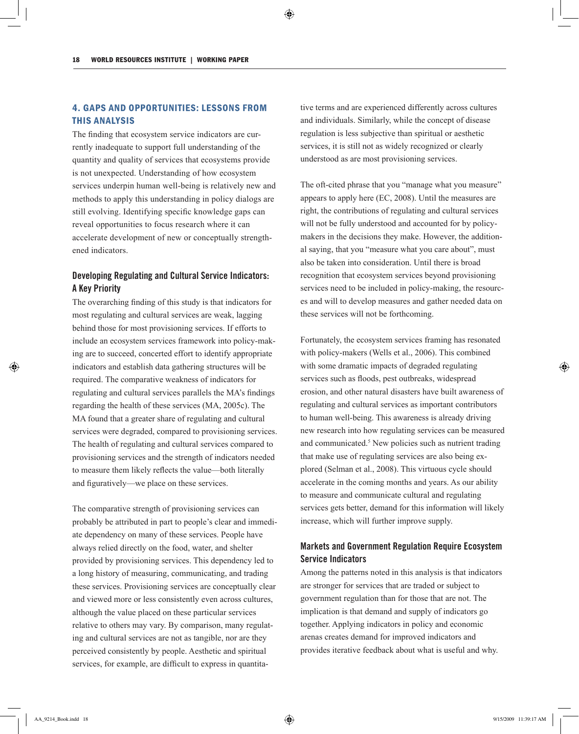# 4. Gaps and Opportunities: Lessons from this Analysis

The finding that ecosystem service indicators are currently inadequate to support full understanding of the quantity and quality of services that ecosystems provide is not unexpected. Understanding of how ecosystem services underpin human well-being is relatively new and methods to apply this understanding in policy dialogs are still evolving. Identifying specific knowledge gaps can reveal opportunities to focus research where it can accelerate development of new or conceptually strengthened indicators.

# Developing Regulating and Cultural Service Indicators: A Key Priority

The overarching finding of this study is that indicators for most regulating and cultural services are weak, lagging behind those for most provisioning services. If efforts to include an ecosystem services framework into policy-making are to succeed, concerted effort to identify appropriate indicators and establish data gathering structures will be required. The comparative weakness of indicators for regulating and cultural services parallels the MA's findings regarding the health of these services (MA, 2005c). The MA found that a greater share of regulating and cultural services were degraded, compared to provisioning services. The health of regulating and cultural services compared to provisioning services and the strength of indicators needed to measure them likely reflects the value—both literally and figuratively—we place on these services.

The comparative strength of provisioning services can probably be attributed in part to people's clear and immediate dependency on many of these services. People have always relied directly on the food, water, and shelter provided by provisioning services. This dependency led to a long history of measuring, communicating, and trading these services. Provisioning services are conceptually clear and viewed more or less consistently even across cultures, although the value placed on these particular services relative to others may vary. By comparison, many regulating and cultural services are not as tangible, nor are they perceived consistently by people. Aesthetic and spiritual services, for example, are difficult to express in quantitative terms and are experienced differently across cultures and individuals. Similarly, while the concept of disease regulation is less subjective than spiritual or aesthetic services, it is still not as widely recognized or clearly understood as are most provisioning services.

The oft-cited phrase that you "manage what you measure" appears to apply here (EC, 2008). Until the measures are right, the contributions of regulating and cultural services will not be fully understood and accounted for by policymakers in the decisions they make. However, the additional saying, that you "measure what you care about", must also be taken into consideration. Until there is broad recognition that ecosystem services beyond provisioning services need to be included in policy-making, the resources and will to develop measures and gather needed data on these services will not be forthcoming.

Fortunately, the ecosystem services framing has resonated with policy-makers (Wells et al., 2006). This combined with some dramatic impacts of degraded regulating services such as floods, pest outbreaks, widespread erosion, and other natural disasters have built awareness of regulating and cultural services as important contributors to human well-being. This awareness is already driving new research into how regulating services can be measured and communicated.<sup>5</sup> New policies such as nutrient trading that make use of regulating services are also being explored (Selman et al., 2008). This virtuous cycle should accelerate in the coming months and years. As our ability to measure and communicate cultural and regulating services gets better, demand for this information will likely increase, which will further improve supply.

# Markets and Government Regulation Require Ecosystem Service Indicators

Among the patterns noted in this analysis is that indicators are stronger for services that are traded or subject to government regulation than for those that are not. The implication is that demand and supply of indicators go together. Applying indicators in policy and economic arenas creates demand for improved indicators and provides iterative feedback about what is useful and why.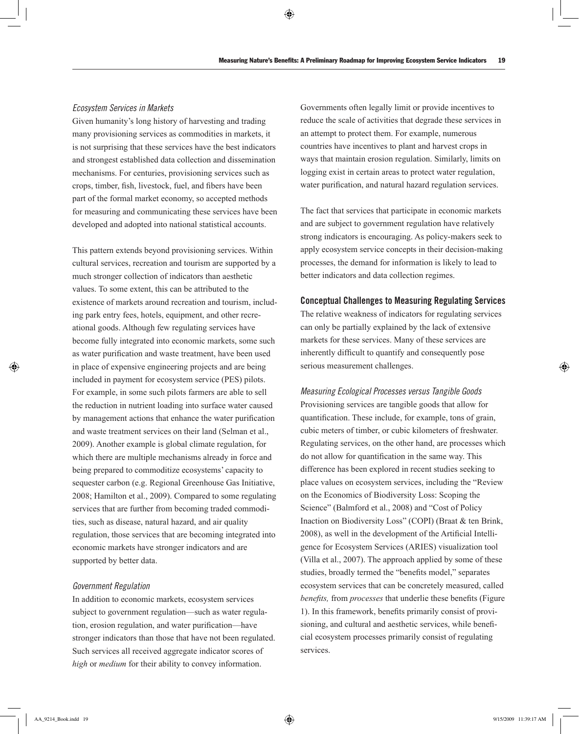## *Ecosystem Services in Markets*

Given humanity's long history of harvesting and trading many provisioning services as commodities in markets, it is not surprising that these services have the best indicators and strongest established data collection and dissemination mechanisms. For centuries, provisioning services such as crops, timber, fish, livestock, fuel, and fibers have been part of the formal market economy, so accepted methods for measuring and communicating these services have been developed and adopted into national statistical accounts.

This pattern extends beyond provisioning services. Within cultural services, recreation and tourism are supported by a much stronger collection of indicators than aesthetic values. To some extent, this can be attributed to the existence of markets around recreation and tourism, including park entry fees, hotels, equipment, and other recreational goods. Although few regulating services have become fully integrated into economic markets, some such as water purification and waste treatment, have been used in place of expensive engineering projects and are being included in payment for ecosystem service (PES) pilots. For example, in some such pilots farmers are able to sell the reduction in nutrient loading into surface water caused by management actions that enhance the water purification and waste treatment services on their land (Selman et al., 2009). Another example is global climate regulation, for which there are multiple mechanisms already in force and being prepared to commoditize ecosystems' capacity to sequester carbon (e.g. Regional Greenhouse Gas Initiative, 2008; Hamilton et al., 2009). Compared to some regulating services that are further from becoming traded commodities, such as disease, natural hazard, and air quality regulation, those services that are becoming integrated into economic markets have stronger indicators and are supported by better data.

## *Government Regulation*

In addition to economic markets, ecosystem services subject to government regulation—such as water regulation, erosion regulation, and water purification—have stronger indicators than those that have not been regulated. Such services all received aggregate indicator scores of *high* or *medium* for their ability to convey information.

Governments often legally limit or provide incentives to reduce the scale of activities that degrade these services in an attempt to protect them. For example, numerous countries have incentives to plant and harvest crops in ways that maintain erosion regulation. Similarly, limits on logging exist in certain areas to protect water regulation, water purification, and natural hazard regulation services.

The fact that services that participate in economic markets and are subject to government regulation have relatively strong indicators is encouraging. As policy-makers seek to apply ecosystem service concepts in their decision-making processes, the demand for information is likely to lead to better indicators and data collection regimes.

#### Conceptual Challenges to Measuring Regulating Services

The relative weakness of indicators for regulating services can only be partially explained by the lack of extensive markets for these services. Many of these services are inherently difficult to quantify and consequently pose serious measurement challenges.

*Measuring Ecological Processes versus Tangible Goods* Provisioning services are tangible goods that allow for quantification. These include, for example, tons of grain, cubic meters of timber, or cubic kilometers of freshwater. Regulating services, on the other hand, are processes which do not allow for quantification in the same way. This difference has been explored in recent studies seeking to place values on ecosystem services, including the "Review on the Economics of Biodiversity Loss: Scoping the Science" (Balmford et al., 2008) and "Cost of Policy Inaction on Biodiversity Loss" (COPI) (Braat & ten Brink, 2008), as well in the development of the Artificial Intelligence for Ecosystem Services (ARIES) visualization tool (Villa et al., 2007). The approach applied by some of these studies, broadly termed the "benefits model," separates ecosystem services that can be concretely measured, called *benefits,* from *processes* that underlie these benefits (Figure 1). In this framework, benefits primarily consist of provisioning, and cultural and aesthetic services, while beneficial ecosystem processes primarily consist of regulating services.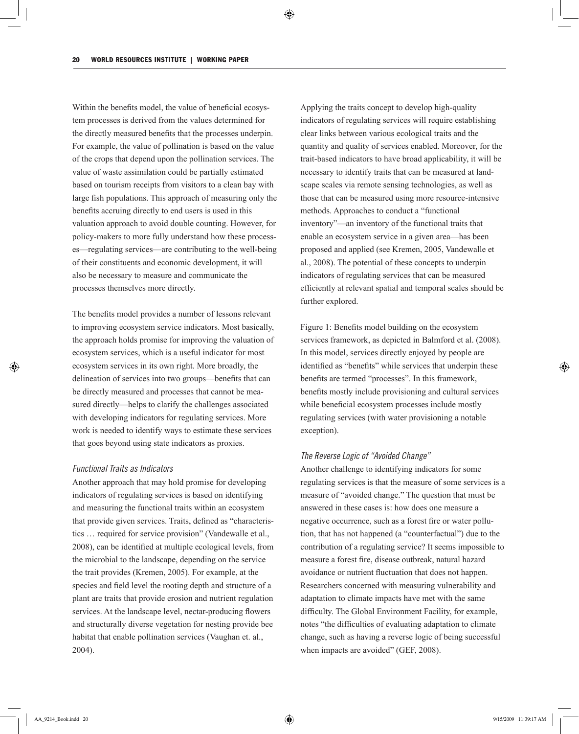Within the benefits model, the value of beneficial ecosystem processes is derived from the values determined for the directly measured benefits that the processes underpin. For example, the value of pollination is based on the value of the crops that depend upon the pollination services. The value of waste assimilation could be partially estimated based on tourism receipts from visitors to a clean bay with large fish populations. This approach of measuring only the benefits accruing directly to end users is used in this valuation approach to avoid double counting. However, for policy-makers to more fully understand how these processes—regulating services—are contributing to the well-being of their constituents and economic development, it will also be necessary to measure and communicate the processes themselves more directly.

The benefits model provides a number of lessons relevant to improving ecosystem service indicators. Most basically, the approach holds promise for improving the valuation of ecosystem services, which is a useful indicator for most ecosystem services in its own right. More broadly, the delineation of services into two groups—benefits that can be directly measured and processes that cannot be measured directly—helps to clarify the challenges associated with developing indicators for regulating services. More work is needed to identify ways to estimate these services that goes beyond using state indicators as proxies.

## *Functional Traits as Indicators*

Another approach that may hold promise for developing indicators of regulating services is based on identifying and measuring the functional traits within an ecosystem that provide given services. Traits, defined as "characteristics … required for service provision" (Vandewalle et al., 2008), can be identified at multiple ecological levels, from the microbial to the landscape, depending on the service the trait provides (Kremen, 2005). For example, at the species and field level the rooting depth and structure of a plant are traits that provide erosion and nutrient regulation services. At the landscape level, nectar-producing flowers and structurally diverse vegetation for nesting provide bee habitat that enable pollination services (Vaughan et. al., 2004).

Applying the traits concept to develop high-quality indicators of regulating services will require establishing clear links between various ecological traits and the quantity and quality of services enabled. Moreover, for the trait-based indicators to have broad applicability, it will be necessary to identify traits that can be measured at landscape scales via remote sensing technologies, as well as those that can be measured using more resource-intensive methods. Approaches to conduct a "functional inventory"—an inventory of the functional traits that enable an ecosystem service in a given area—has been proposed and applied (see Kremen, 2005, Vandewalle et al., 2008). The potential of these concepts to underpin indicators of regulating services that can be measured efficiently at relevant spatial and temporal scales should be further explored.

Figure 1: Benefits model building on the ecosystem services framework, as depicted in Balmford et al. (2008). In this model, services directly enjoyed by people are identified as "benefits" while services that underpin these benefits are termed "processes". In this framework, benefits mostly include provisioning and cultural services while beneficial ecosystem processes include mostly regulating services (with water provisioning a notable exception).

## *The Reverse Logic of "Avoided Change"*

Another challenge to identifying indicators for some regulating services is that the measure of some services is a measure of "avoided change." The question that must be answered in these cases is: how does one measure a negative occurrence, such as a forest fire or water pollution, that has not happened (a "counterfactual") due to the contribution of a regulating service? It seems impossible to measure a forest fire, disease outbreak, natural hazard avoidance or nutrient fluctuation that does not happen. Researchers concerned with measuring vulnerability and adaptation to climate impacts have met with the same difficulty. The Global Environment Facility, for example, notes "the difficulties of evaluating adaptation to climate change, such as having a reverse logic of being successful when impacts are avoided" (GEF, 2008).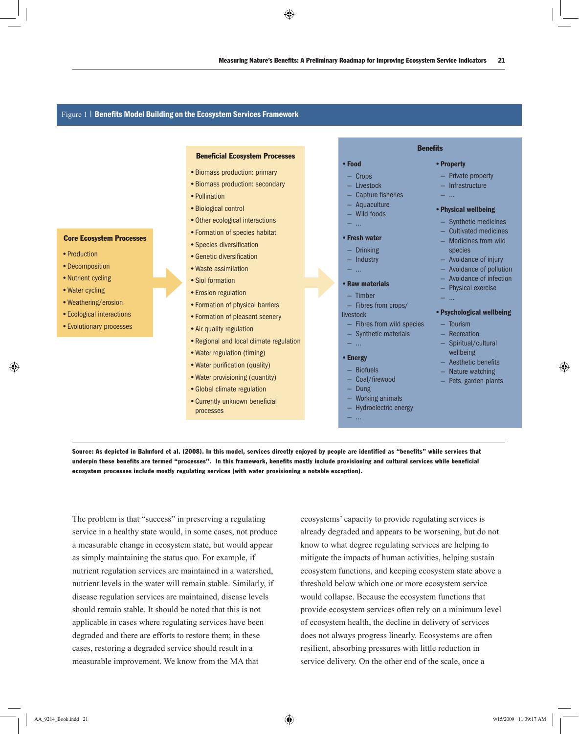#### Figure 1 | Benefits Model Building on the Ecosystem Services Framework

#### Beneficial Ecosystem Processes

- •Biomass production: primary
- •Biomass production: secondary
- •Pollination
- •Biological control
- •Other ecological interactions
- •Formation of species habitat
- •Species diversification
- •Genetic diversification
- •Waste assimilation
- •Siol formation
- •Erosion regulation
- •Formation of physical barriers
- •Formation of pleasant scenery
- Air quality regulation
- •Regional and local climate regulation
- •Water regulation (timing)
- Water purification (quality)
- Water provisioning (quantity)
- •Global climate regulation
- processes

#### •Food

- Crops
- Livestock
- Capture fisheries
- $-$  Aquaculture
- Wild foods
- …

#### •Fresh water

- — Drinking
- Industry
- …

## •Raw materials

- Timber
- Fibres from crops/

livestock

- Fibres from wild species
- Synthetic materials
- …

#### •Energy

- Biofuels
- Coal/firewood
	- **Dung**
- Working animals
- Hydroelectric energy
- …

# **Benefits**

— Private property

•Property

- Infrastructure
- …

#### •Physical wellbeing

- Synthetic medicines
- Cultivated medicines
- Medicines from wild species
- Avoidance of injury
- Avoidance of pollution
- Avoidance of infection
- Physical exercise
- …

#### •Psychological wellbeing

- Tourism
- Recreation
- Spiritual/cultural wellbeing
- Aesthetic benefits
- Nature watching
- Pets, garden plants
- Source: As depicted in Balmford et al. (2008). In this model, services directly enjoyed by people are identified as "benefits" while services that underpin these benefits are termed "processes". In this framework, benefits mostly include provisioning and cultural services while beneficial ecosystem processes include mostly regulating services (with water provisioning a notable exception).

The problem is that "success" in preserving a regulating service in a healthy state would, in some cases, not produce a measurable change in ecosystem state, but would appear as simply maintaining the status quo. For example, if nutrient regulation services are maintained in a watershed, nutrient levels in the water will remain stable. Similarly, if disease regulation services are maintained, disease levels should remain stable. It should be noted that this is not applicable in cases where regulating services have been degraded and there are efforts to restore them; in these cases, restoring a degraded service should result in a measurable improvement. We know from the MA that

ecosystems' capacity to provide regulating services is already degraded and appears to be worsening, but do not know to what degree regulating services are helping to mitigate the impacts of human activities, helping sustain ecosystem functions, and keeping ecosystem state above a threshold below which one or more ecosystem service would collapse. Because the ecosystem functions that provide ecosystem services often rely on a minimum level of ecosystem health, the decline in delivery of services does not always progress linearly. Ecosystems are often resilient, absorbing pressures with little reduction in service delivery. On the other end of the scale, once a

#### Core Ecosystem Processes

- Production
- Decomposition
- Nutrient cycling
- •Water cycling
- •Weathering/erosion
- •Ecological interactions
- •Evolutionary processes
- 
- 
- 
- 
- 
- 
- 
- 
- 
- 
- 
- •Currently unknown beneficial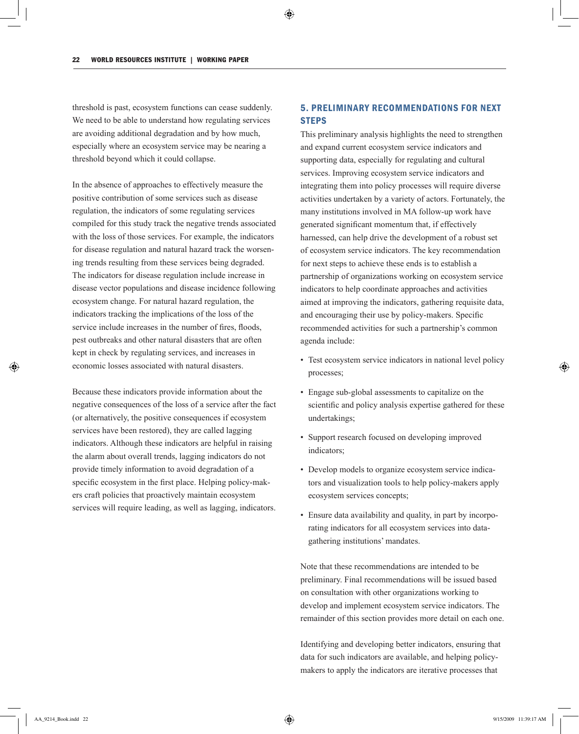threshold is past, ecosystem functions can cease suddenly. We need to be able to understand how regulating services are avoiding additional degradation and by how much, especially where an ecosystem service may be nearing a threshold beyond which it could collapse.

In the absence of approaches to effectively measure the positive contribution of some services such as disease regulation, the indicators of some regulating services compiled for this study track the negative trends associated with the loss of those services. For example, the indicators for disease regulation and natural hazard track the worsening trends resulting from these services being degraded. The indicators for disease regulation include increase in disease vector populations and disease incidence following ecosystem change. For natural hazard regulation, the indicators tracking the implications of the loss of the service include increases in the number of fires, floods, pest outbreaks and other natural disasters that are often kept in check by regulating services, and increases in economic losses associated with natural disasters.

Because these indicators provide information about the negative consequences of the loss of a service after the fact (or alternatively, the positive consequences if ecosystem services have been restored), they are called lagging indicators. Although these indicators are helpful in raising the alarm about overall trends, lagging indicators do not provide timely information to avoid degradation of a specific ecosystem in the first place. Helping policy-makers craft policies that proactively maintain ecosystem services will require leading, as well as lagging, indicators.

# 5. Preliminary Recommendations for Next **STEPS**

This preliminary analysis highlights the need to strengthen and expand current ecosystem service indicators and supporting data, especially for regulating and cultural services. Improving ecosystem service indicators and integrating them into policy processes will require diverse activities undertaken by a variety of actors. Fortunately, the many institutions involved in MA follow-up work have generated significant momentum that, if effectively harnessed, can help drive the development of a robust set of ecosystem service indicators. The key recommendation for next steps to achieve these ends is to establish a partnership of organizations working on ecosystem service indicators to help coordinate approaches and activities aimed at improving the indicators, gathering requisite data, and encouraging their use by policy-makers. Specific recommended activities for such a partnership's common agenda include:

- Test ecosystem service indicators in national level policy processes;
- Engage sub-global assessments to capitalize on the scientific and policy analysis expertise gathered for these undertakings;
- Support research focused on developing improved indicators;
- Develop models to organize ecosystem service indicators and visualization tools to help policy-makers apply ecosystem services concepts;
- Ensure data availability and quality, in part by incorporating indicators for all ecosystem services into datagathering institutions' mandates.

Note that these recommendations are intended to be preliminary. Final recommendations will be issued based on consultation with other organizations working to develop and implement ecosystem service indicators. The remainder of this section provides more detail on each one.

Identifying and developing better indicators, ensuring that data for such indicators are available, and helping policymakers to apply the indicators are iterative processes that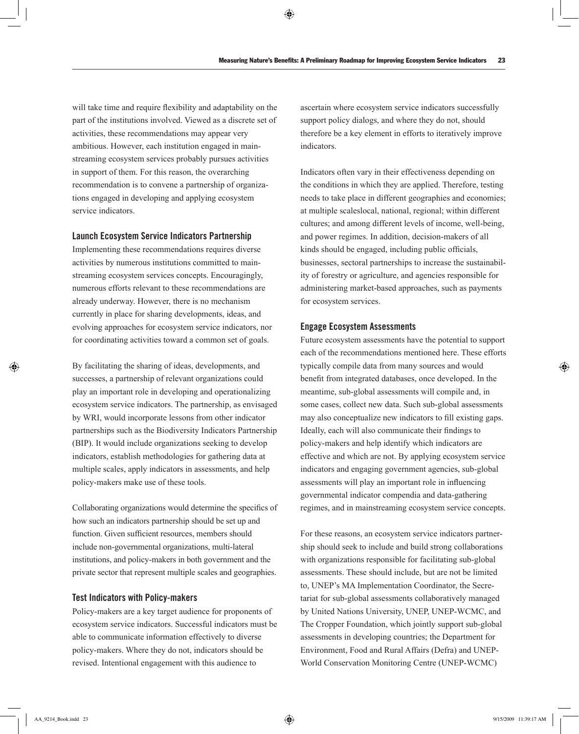will take time and require flexibility and adaptability on the part of the institutions involved. Viewed as a discrete set of activities, these recommendations may appear very ambitious. However, each institution engaged in mainstreaming ecosystem services probably pursues activities in support of them. For this reason, the overarching recommendation is to convene a partnership of organizations engaged in developing and applying ecosystem service indicators.

## Launch Ecosystem Service Indicators Partnership

Implementing these recommendations requires diverse activities by numerous institutions committed to mainstreaming ecosystem services concepts. Encouragingly, numerous efforts relevant to these recommendations are already underway. However, there is no mechanism currently in place for sharing developments, ideas, and evolving approaches for ecosystem service indicators, nor for coordinating activities toward a common set of goals.

By facilitating the sharing of ideas, developments, and successes, a partnership of relevant organizations could play an important role in developing and operationalizing ecosystem service indicators. The partnership, as envisaged by WRI, would incorporate lessons from other indicator partnerships such as the Biodiversity Indicators Partnership (BIP). It would include organizations seeking to develop indicators, establish methodologies for gathering data at multiple scales, apply indicators in assessments, and help policy-makers make use of these tools.

Collaborating organizations would determine the specifics of how such an indicators partnership should be set up and function. Given sufficient resources, members should include non-governmental organizations, multi-lateral institutions, and policy-makers in both government and the private sector that represent multiple scales and geographies.

## Test Indicators with Policy-makers

Policy-makers are a key target audience for proponents of ecosystem service indicators. Successful indicators must be able to communicate information effectively to diverse policy-makers. Where they do not, indicators should be revised. Intentional engagement with this audience to

ascertain where ecosystem service indicators successfully support policy dialogs, and where they do not, should therefore be a key element in efforts to iteratively improve indicators.

Indicators often vary in their effectiveness depending on the conditions in which they are applied. Therefore, testing needs to take place in different geographies and economies; at multiple scaleslocal, national, regional; within different cultures; and among different levels of income, well-being, and power regimes. In addition, decision-makers of all kinds should be engaged, including public officials, businesses, sectoral partnerships to increase the sustainability of forestry or agriculture, and agencies responsible for administering market-based approaches, such as payments for ecosystem services.

#### Engage Ecosystem Assessments

Future ecosystem assessments have the potential to support each of the recommendations mentioned here. These efforts typically compile data from many sources and would benefit from integrated databases, once developed. In the meantime, sub-global assessments will compile and, in some cases, collect new data. Such sub-global assessments may also conceptualize new indicators to fill existing gaps. Ideally, each will also communicate their findings to policy-makers and help identify which indicators are effective and which are not. By applying ecosystem service indicators and engaging government agencies, sub-global assessments will play an important role in influencing governmental indicator compendia and data-gathering regimes, and in mainstreaming ecosystem service concepts.

For these reasons, an ecosystem service indicators partnership should seek to include and build strong collaborations with organizations responsible for facilitating sub-global assessments. These should include, but are not be limited to, UNEP's MA Implementation Coordinator, the Secretariat for sub-global assessments collaboratively managed by United Nations University, UNEP, UNEP-WCMC, and The Cropper Foundation, which jointly support sub-global assessments in developing countries; the Department for Environment, Food and Rural Affairs (Defra) and UNEP-World Conservation Monitoring Centre (UNEP-WCMC)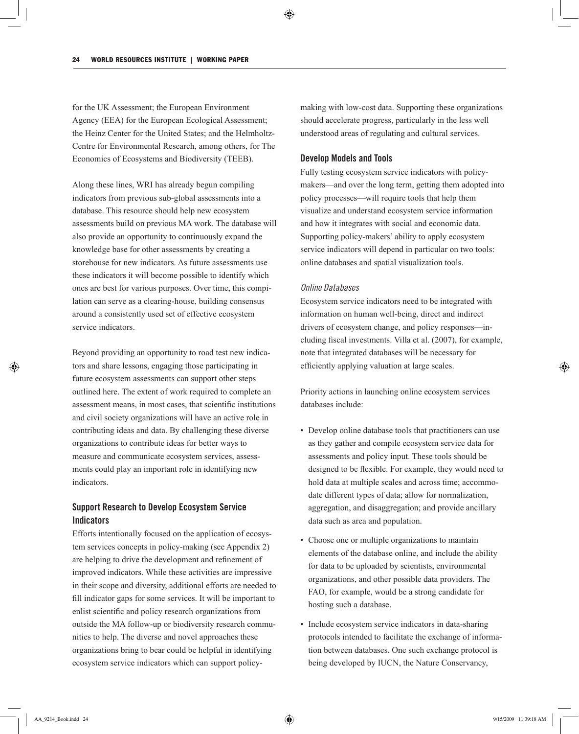for the UK Assessment; the European Environment Agency (EEA) for the European Ecological Assessment; the Heinz Center for the United States; and the Helmholtz-Centre for Environmental Research, among others, for The Economics of Ecosystems and Biodiversity (TEEB).

Along these lines, WRI has already begun compiling indicators from previous sub-global assessments into a database. This resource should help new ecosystem assessments build on previous MA work. The database will also provide an opportunity to continuously expand the knowledge base for other assessments by creating a storehouse for new indicators. As future assessments use these indicators it will become possible to identify which ones are best for various purposes. Over time, this compilation can serve as a clearing-house, building consensus around a consistently used set of effective ecosystem service indicators.

Beyond providing an opportunity to road test new indicators and share lessons, engaging those participating in future ecosystem assessments can support other steps outlined here. The extent of work required to complete an assessment means, in most cases, that scientific institutions and civil society organizations will have an active role in contributing ideas and data. By challenging these diverse organizations to contribute ideas for better ways to measure and communicate ecosystem services, assessments could play an important role in identifying new indicators.

# Support Research to Develop Ecosystem Service **Indicators**

Efforts intentionally focused on the application of ecosystem services concepts in policy-making (see Appendix 2) are helping to drive the development and refinement of improved indicators. While these activities are impressive in their scope and diversity, additional efforts are needed to fill indicator gaps for some services. It will be important to enlist scientific and policy research organizations from outside the MA follow-up or biodiversity research communities to help. The diverse and novel approaches these organizations bring to bear could be helpful in identifying ecosystem service indicators which can support policymaking with low-cost data. Supporting these organizations should accelerate progress, particularly in the less well understood areas of regulating and cultural services.

## Develop Models and Tools

Fully testing ecosystem service indicators with policymakers—and over the long term, getting them adopted into policy processes—will require tools that help them visualize and understand ecosystem service information and how it integrates with social and economic data. Supporting policy-makers' ability to apply ecosystem service indicators will depend in particular on two tools: online databases and spatial visualization tools.

## *Online Databases*

Ecosystem service indicators need to be integrated with information on human well-being, direct and indirect drivers of ecosystem change, and policy responses—including fiscal investments. Villa et al. (2007), for example, note that integrated databases will be necessary for efficiently applying valuation at large scales.

Priority actions in launching online ecosystem services databases include:

- Develop online database tools that practitioners can use as they gather and compile ecosystem service data for assessments and policy input. These tools should be designed to be flexible. For example, they would need to hold data at multiple scales and across time; accommodate different types of data; allow for normalization, aggregation, and disaggregation; and provide ancillary data such as area and population.
- Choose one or multiple organizations to maintain elements of the database online, and include the ability for data to be uploaded by scientists, environmental organizations, and other possible data providers. The FAO, for example, would be a strong candidate for hosting such a database.
- Include ecosystem service indicators in data-sharing protocols intended to facilitate the exchange of information between databases. One such exchange protocol is being developed by IUCN, the Nature Conservancy,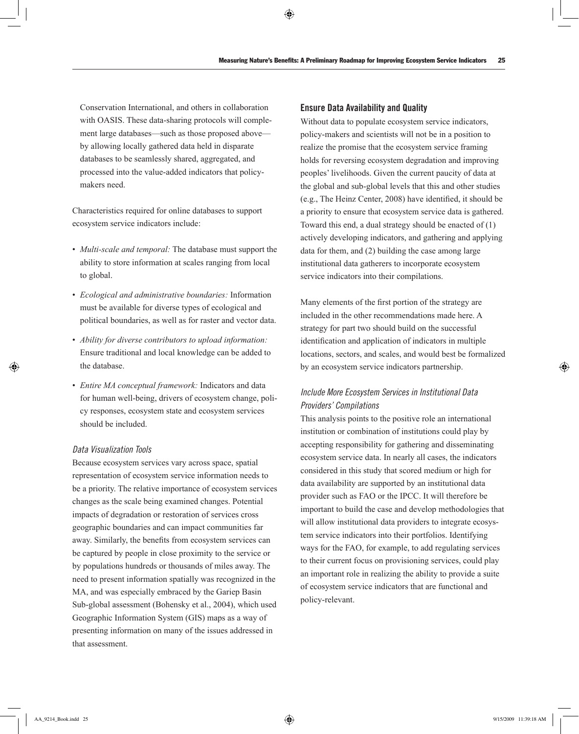Conservation International, and others in collaboration with OASIS. These data-sharing protocols will complement large databases—such as those proposed above by allowing locally gathered data held in disparate databases to be seamlessly shared, aggregated, and processed into the value-added indicators that policymakers need.

Characteristics required for online databases to support ecosystem service indicators include:

- *Multi-scale and temporal:* The database must support the ability to store information at scales ranging from local to global.
- *Ecological and administrative boundaries:* Information must be available for diverse types of ecological and political boundaries, as well as for raster and vector data.
- *Ability for diverse contributors to upload information:* Ensure traditional and local knowledge can be added to the database.
- *Entire MA conceptual framework:* Indicators and data for human well-being, drivers of ecosystem change, policy responses, ecosystem state and ecosystem services should be included.

## *Data Visualization Tools*

Because ecosystem services vary across space, spatial representation of ecosystem service information needs to be a priority. The relative importance of ecosystem services changes as the scale being examined changes. Potential impacts of degradation or restoration of services cross geographic boundaries and can impact communities far away. Similarly, the benefits from ecosystem services can be captured by people in close proximity to the service or by populations hundreds or thousands of miles away. The need to present information spatially was recognized in the MA, and was especially embraced by the Gariep Basin Sub-global assessment (Bohensky et al., 2004), which used Geographic Information System (GIS) maps as a way of presenting information on many of the issues addressed in that assessment.

## Ensure Data Availability and Quality

Without data to populate ecosystem service indicators, policy-makers and scientists will not be in a position to realize the promise that the ecosystem service framing holds for reversing ecosystem degradation and improving peoples' livelihoods. Given the current paucity of data at the global and sub-global levels that this and other studies (e.g., The Heinz Center, 2008) have identified, it should be a priority to ensure that ecosystem service data is gathered. Toward this end, a dual strategy should be enacted of (1) actively developing indicators, and gathering and applying data for them, and (2) building the case among large institutional data gatherers to incorporate ecosystem service indicators into their compilations.

Many elements of the first portion of the strategy are included in the other recommendations made here. A strategy for part two should build on the successful identification and application of indicators in multiple locations, sectors, and scales, and would best be formalized by an ecosystem service indicators partnership.

# *Include More Ecosystem Services in Institutional Data Providers' Compilations*

This analysis points to the positive role an international institution or combination of institutions could play by accepting responsibility for gathering and disseminating ecosystem service data. In nearly all cases, the indicators considered in this study that scored medium or high for data availability are supported by an institutional data provider such as FAO or the IPCC. It will therefore be important to build the case and develop methodologies that will allow institutional data providers to integrate ecosystem service indicators into their portfolios. Identifying ways for the FAO, for example, to add regulating services to their current focus on provisioning services, could play an important role in realizing the ability to provide a suite of ecosystem service indicators that are functional and policy-relevant.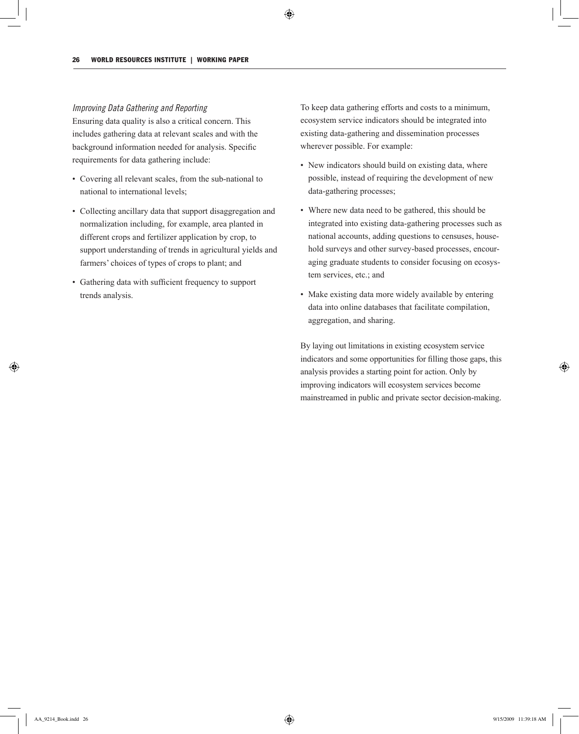## *Improving Data Gathering and Reporting*

Ensuring data quality is also a critical concern. This includes gathering data at relevant scales and with the background information needed for analysis. Specific requirements for data gathering include:

- Covering all relevant scales, from the sub-national to national to international levels;
- Collecting ancillary data that support disaggregation and normalization including, for example, area planted in different crops and fertilizer application by crop, to support understanding of trends in agricultural yields and farmers' choices of types of crops to plant; and
- Gathering data with sufficient frequency to support trends analysis.

To keep data gathering efforts and costs to a minimum, ecosystem service indicators should be integrated into existing data-gathering and dissemination processes wherever possible. For example:

- New indicators should build on existing data, where possible, instead of requiring the development of new data-gathering processes;
- Where new data need to be gathered, this should be integrated into existing data-gathering processes such as national accounts, adding questions to censuses, household surveys and other survey-based processes, encouraging graduate students to consider focusing on ecosystem services, etc.; and
- Make existing data more widely available by entering data into online databases that facilitate compilation, aggregation, and sharing.

By laying out limitations in existing ecosystem service indicators and some opportunities for filling those gaps, this analysis provides a starting point for action. Only by improving indicators will ecosystem services become mainstreamed in public and private sector decision-making.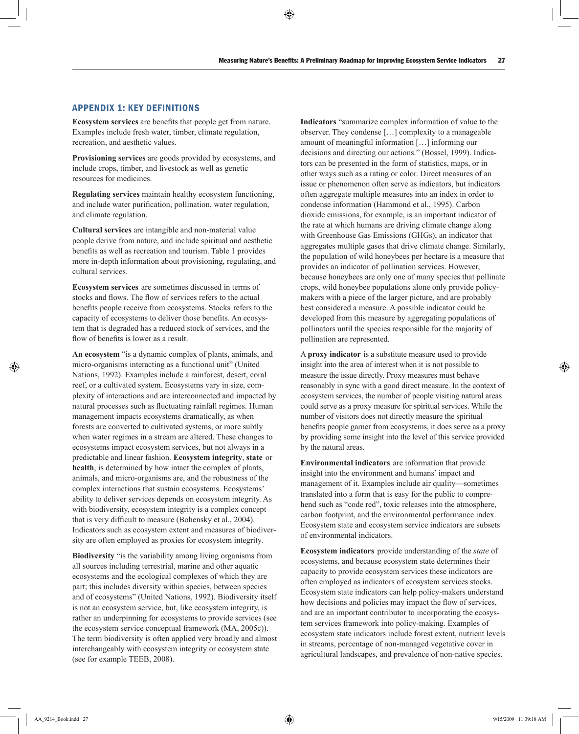## Appendix 1: Key Definitions

**Ecosystem services** are benefits that people get from nature. Examples include fresh water, timber, climate regulation, recreation, and aesthetic values.

**Provisioning services** are goods provided by ecosystems, and include crops, timber, and livestock as well as genetic resources for medicines.

**Regulating services** maintain healthy ecosystem functioning, and include water purification, pollination, water regulation, and climate regulation.

**Cultural services** are intangible and non-material value people derive from nature, and include spiritual and aesthetic benefits as well as recreation and tourism. Table 1 provides more in-depth information about provisioning, regulating, and cultural services.

**Ecosystem services** are sometimes discussed in terms of stocks and flows. The flow of services refers to the actual benefits people receive from ecosystems. Stocks refers to the capacity of ecosystems to deliver those benefits. An ecosystem that is degraded has a reduced stock of services, and the flow of benefits is lower as a result.

**An ecosystem** "is a dynamic complex of plants, animals, and micro-organisms interacting as a functional unit" (United Nations, 1992). Examples include a rainforest, desert, coral reef, or a cultivated system. Ecosystems vary in size, complexity of interactions and are interconnected and impacted by natural processes such as fluctuating rainfall regimes. Human management impacts ecosystems dramatically, as when forests are converted to cultivated systems, or more subtly when water regimes in a stream are altered. These changes to ecosystems impact ecosystem services, but not always in a predictable and linear fashion. **Ecosystem integrity**, **state** or **health**, is determined by how intact the complex of plants, animals, and micro-organisms are, and the robustness of the complex interactions that sustain ecosystems. Ecosystems' ability to deliver services depends on ecosystem integrity. As with biodiversity, ecosystem integrity is a complex concept that is very difficult to measure (Bohensky et al., 2004). Indicators such as ecosystem extent and measures of biodiversity are often employed as proxies for ecosystem integrity.

**Biodiversity** "is the variability among living organisms from all sources including terrestrial, marine and other aquatic ecosystems and the ecological complexes of which they are part; this includes diversity within species, between species and of ecosystems" (United Nations, 1992). Biodiversity itself is not an ecosystem service, but, like ecosystem integrity, is rather an underpinning for ecosystems to provide services (see the ecosystem service conceptual framework (MA, 2005c)). The term biodiversity is often applied very broadly and almost interchangeably with ecosystem integrity or ecosystem state (see for example TEEB, 2008).

**Indicators** "summarize complex information of value to the observer. They condense […] complexity to a manageable amount of meaningful information […] informing our decisions and directing our actions." (Bossel, 1999). Indicators can be presented in the form of statistics, maps, or in other ways such as a rating or color. Direct measures of an issue or phenomenon often serve as indicators, but indicators often aggregate multiple measures into an index in order to condense information (Hammond et al., 1995). Carbon dioxide emissions, for example, is an important indicator of the rate at which humans are driving climate change along with Greenhouse Gas Emissions (GHGs), an indicator that aggregates multiple gases that drive climate change. Similarly, the population of wild honeybees per hectare is a measure that provides an indicator of pollination services. However, because honeybees are only one of many species that pollinate crops, wild honeybee populations alone only provide policymakers with a piece of the larger picture, and are probably best considered a measure. A possible indicator could be developed from this measure by aggregating populations of pollinators until the species responsible for the majority of pollination are represented.

A **proxy indicator** is a substitute measure used to provide insight into the area of interest when it is not possible to measure the issue directly. Proxy measures must behave reasonably in sync with a good direct measure. In the context of ecosystem services, the number of people visiting natural areas could serve as a proxy measure for spiritual services. While the number of visitors does not directly measure the spiritual benefits people garner from ecosystems, it does serve as a proxy by providing some insight into the level of this service provided by the natural areas.

**Environmental indicators** are information that provide insight into the environment and humans' impact and management of it. Examples include air quality—sometimes translated into a form that is easy for the public to comprehend such as "code red", toxic releases into the atmosphere, carbon footprint, and the environmental performance index. Ecosystem state and ecosystem service indicators are subsets of environmental indicators.

**Ecosystem indicators** provide understanding of the *state* of ecosystems, and because ecosystem state determines their capacity to provide ecosystem services these indicators are often employed as indicators of ecosystem services stocks. Ecosystem state indicators can help policy-makers understand how decisions and policies may impact the flow of services, and are an important contributor to incorporating the ecosystem services framework into policy-making. Examples of ecosystem state indicators include forest extent, nutrient levels in streams, percentage of non-managed vegetative cover in agricultural landscapes, and prevalence of non-native species.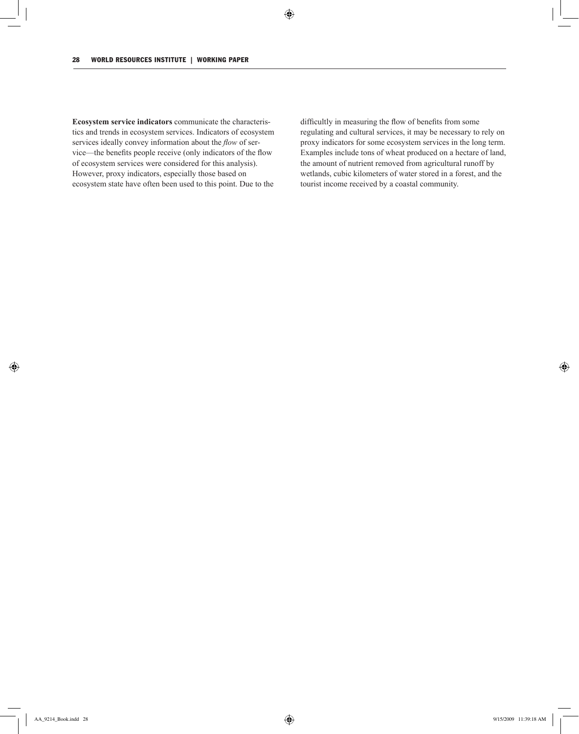**Ecosystem service indicators** communicate the characteristics and trends in ecosystem services. Indicators of ecosystem services ideally convey information about the *flow* of service—the benefits people receive (only indicators of the flow of ecosystem services were considered for this analysis). However, proxy indicators, especially those based on ecosystem state have often been used to this point. Due to the

difficultly in measuring the flow of benefits from some regulating and cultural services, it may be necessary to rely on proxy indicators for some ecosystem services in the long term. Examples include tons of wheat produced on a hectare of land, the amount of nutrient removed from agricultural runoff by wetlands, cubic kilometers of water stored in a forest, and the tourist income received by a coastal community.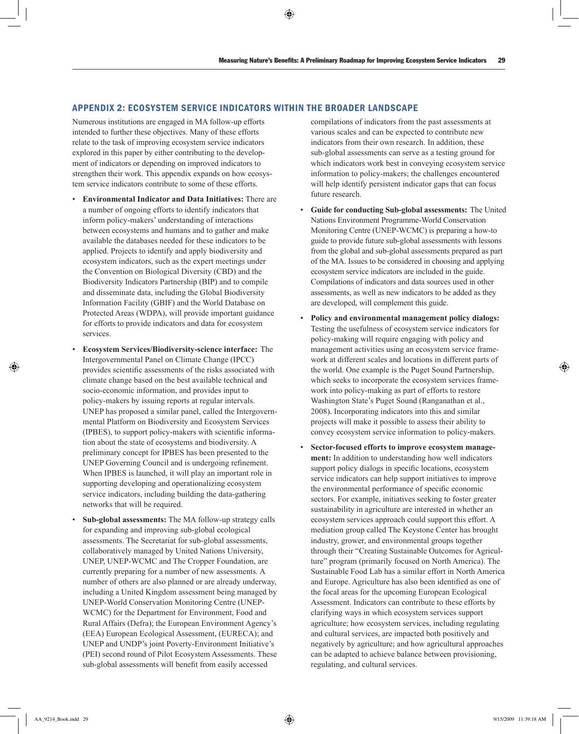## Appendix 2: Ecosystem Service Indicators within the Broader Landscape

Numerous institutions are engaged in MA follow-up efforts intended to further these objectives. Many of these efforts relate to the task of improving ecosystem service indicators explored in this paper by either contributing to the development of indicators or depending on improved indicators to strengthen their work. This appendix expands on how ecosystem service indicators contribute to some of these efforts.

- **Environmental Indicator and Data Initiatives:** There are a number of ongoing efforts to identify indicators that inform policy-makers' understanding of interactions between ecosystems and humans and to gather and make available the databases needed for these indicators to be applied. Projects to identify and apply biodiversity and ecosystem indicators, such as the expert meetings under the Convention on Biological Diversity (CBD) and the Biodiversity Indicators Partnership (BIP) and to compile and disseminate data, including the Global Biodiversity Information Facility (GBIF) and the World Database on Protected Areas (WDPA), will provide important guidance for efforts to provide indicators and data for ecosystem services.
- **Ecosystem Services/Biodiversity-science interface:** The Intergovernmental Panel on Climate Change (IPCC) provides scientific assessments of the risks associated with climate change based on the best available technical and socio-economic information, and provides input to policy-makers by issuing reports at regular intervals. UNEP has proposed a similar panel, called the Intergovernmental Platform on Biodiversity and Ecosystem Services (IPBES), to support policy-makers with scientific information about the state of ecosystems and biodiversity. A preliminary concept for IPBES has been presented to the UNEP Governing Council and is undergoing refinement. When IPBES is launched, it will play an important role in supporting developing and operationalizing ecosystem service indicators, including building the data-gathering networks that will be required.
- **Sub-global assessments:** The MA follow-up strategy calls for expanding and improving sub-global ecological assessments. The Secretariat for sub-global assessments, collaboratively managed by United Nations University, UNEP, UNEP-WCMC and The Cropper Foundation, are currently preparing for a number of new assessments. A number of others are also planned or are already underway, including a United Kingdom assessment being managed by UNEP-World Conservation Monitoring Centre (UNEP-WCMC) for the Department for Environment, Food and Rural Affairs (Defra); the European Environment Agency's (EEA) European Ecological Assessment, (EURECA); and UNEP and UNDP's joint Poverty-Environment Initiative's (PEI) second round of Pilot Ecosystem Assessments. These sub-global assessments will benefit from easily accessed

compilations of indicators from the past assessments at various scales and can be expected to contribute new indicators from their own research. In addition, these sub-global assessments can serve as a testing ground for which indicators work best in conveying ecosystem service information to policy-makers; the challenges encountered will help identify persistent indicator gaps that can focus future research.

- **Guide for conducting Sub-global assessments:** The United Nations Environment Programme-World Conservation Monitoring Centre (UNEP-WCMC) is preparing a how-to guide to provide future sub-global assessments with lessons from the global and sub-global assessments prepared as part of the MA. Issues to be considered in choosing and applying ecosystem service indicators are included in the guide. Compilations of indicators and data sources used in other assessments, as well as new indicators to be added as they are developed, will complement this guide.
- **Policy and environmental management policy dialogs:**  Testing the usefulness of ecosystem service indicators for policy-making will require engaging with policy and management activities using an ecosystem service framework at different scales and locations in different parts of the world. One example is the Puget Sound Partnership, which seeks to incorporate the ecosystem services framework into policy-making as part of efforts to restore Washington State's Puget Sound (Ranganathan et al., 2008). Incorporating indicators into this and similar projects will make it possible to assess their ability to convey ecosystem service information to policy-makers.
- **Sector-focused efforts to improve ecosystem management:** In addition to understanding how well indicators support policy dialogs in specific locations, ecosystem service indicators can help support initiatives to improve the environmental performance of specific economic sectors. For example, initiatives seeking to foster greater sustainability in agriculture are interested in whether an ecosystem services approach could support this effort. A mediation group called The Keystone Center has brought industry, grower, and environmental groups together through their "Creating Sustainable Outcomes for Agriculture" program (primarily focused on North America). The Sustainable Food Lab has a similar effort in North America and Europe. Agriculture has also been identified as one of the focal areas for the upcoming European Ecological Assessment. Indicators can contribute to these efforts by clarifying ways in which ecosystem services support agriculture; how ecosystem services, including regulating and cultural services, are impacted both positively and negatively by agriculture; and how agricultural approaches can be adapted to achieve balance between provisioning, regulating, and cultural services.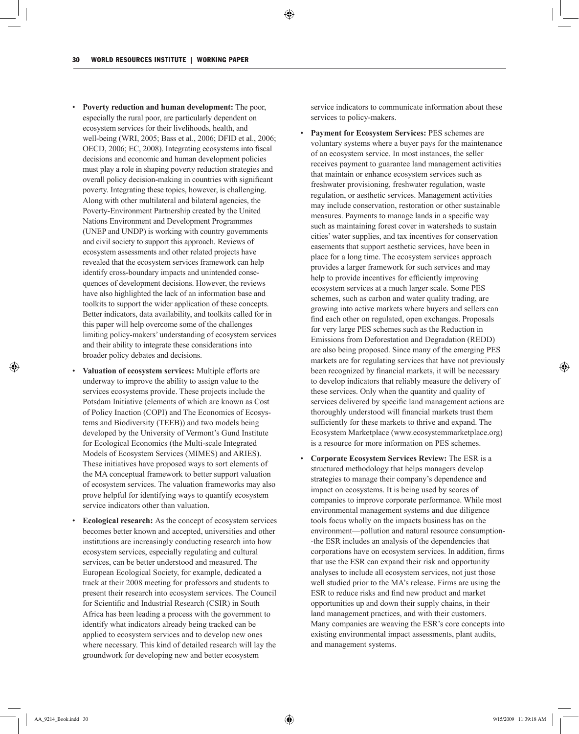- **Poverty reduction and human development:** The poor, especially the rural poor, are particularly dependent on ecosystem services for their livelihoods, health, and well-being (WRI, 2005; Bass et al., 2006; DFID et al., 2006; OECD, 2006; EC, 2008). Integrating ecosystems into fiscal decisions and economic and human development policies must play a role in shaping poverty reduction strategies and overall policy decision-making in countries with significant poverty. Integrating these topics, however, is challenging. Along with other multilateral and bilateral agencies, the Poverty-Environment Partnership created by the United Nations Environment and Development Programmes (UNEP and UNDP) is working with country governments and civil society to support this approach. Reviews of ecosystem assessments and other related projects have revealed that the ecosystem services framework can help identify cross-boundary impacts and unintended consequences of development decisions. However, the reviews have also highlighted the lack of an information base and toolkits to support the wider application of these concepts. Better indicators, data availability, and toolkits called for in this paper will help overcome some of the challenges limiting policy-makers' understanding of ecosystem services and their ability to integrate these considerations into broader policy debates and decisions.
- **Valuation of ecosystem services:** Multiple efforts are underway to improve the ability to assign value to the services ecosystems provide. These projects include the Potsdam Initiative (elements of which are known as Cost of Policy Inaction (COPI) and The Economics of Ecosystems and Biodiversity (TEEB)) and two models being developed by the University of Vermont's Gund Institute for Ecological Economics (the Multi-scale Integrated Models of Ecosystem Services (MIMES) and ARIES). These initiatives have proposed ways to sort elements of the MA conceptual framework to better support valuation of ecosystem services. The valuation frameworks may also prove helpful for identifying ways to quantify ecosystem service indicators other than valuation.
- **Ecological research:** As the concept of ecosystem services becomes better known and accepted, universities and other institutions are increasingly conducting research into how ecosystem services, especially regulating and cultural services, can be better understood and measured. The European Ecological Society, for example, dedicated a track at their 2008 meeting for professors and students to present their research into ecosystem services. The Council for Scientific and Industrial Research (CSIR) in South Africa has been leading a process with the government to identify what indicators already being tracked can be applied to ecosystem services and to develop new ones where necessary. This kind of detailed research will lay the groundwork for developing new and better ecosystem

service indicators to communicate information about these services to policy-makers.

- **Payment for Ecosystem Services:** PES schemes are voluntary systems where a buyer pays for the maintenance of an ecosystem service. In most instances, the seller receives payment to guarantee land management activities that maintain or enhance ecosystem services such as freshwater provisioning, freshwater regulation, waste regulation, or aesthetic services. Management activities may include conservation, restoration or other sustainable measures. Payments to manage lands in a specific way such as maintaining forest cover in watersheds to sustain cities' water supplies, and tax incentives for conservation easements that support aesthetic services, have been in place for a long time. The ecosystem services approach provides a larger framework for such services and may help to provide incentives for efficiently improving ecosystem services at a much larger scale. Some PES schemes, such as carbon and water quality trading, are growing into active markets where buyers and sellers can find each other on regulated, open exchanges. Proposals for very large PES schemes such as the Reduction in Emissions from Deforestation and Degradation (REDD) are also being proposed. Since many of the emerging PES markets are for regulating services that have not previously been recognized by financial markets, it will be necessary to develop indicators that reliably measure the delivery of these services. Only when the quantity and quality of services delivered by specific land management actions are thoroughly understood will financial markets trust them sufficiently for these markets to thrive and expand. The Ecosystem Marketplace (www.ecosystemmarketplace.org) is a resource for more information on PES schemes.
- **Corporate Ecosystem Services Review:** The ESR is a structured methodology that helps managers develop strategies to manage their company's dependence and impact on ecosystems. It is being used by scores of companies to improve corporate performance. While most environmental management systems and due diligence tools focus wholly on the impacts business has on the environment—pollution and natural resource consumption---the ESR includes an analysis of the dependencies that corporations have on ecosystem services. In addition, firms that use the ESR can expand their risk and opportunity analyses to include all ecosystem services, not just those well studied prior to the MA's release. Firms are using the ESR to reduce risks and find new product and market opportunities up and down their supply chains, in their land management practices, and with their customers. Many companies are weaving the ESR's core concepts into existing environmental impact assessments, plant audits, and management systems.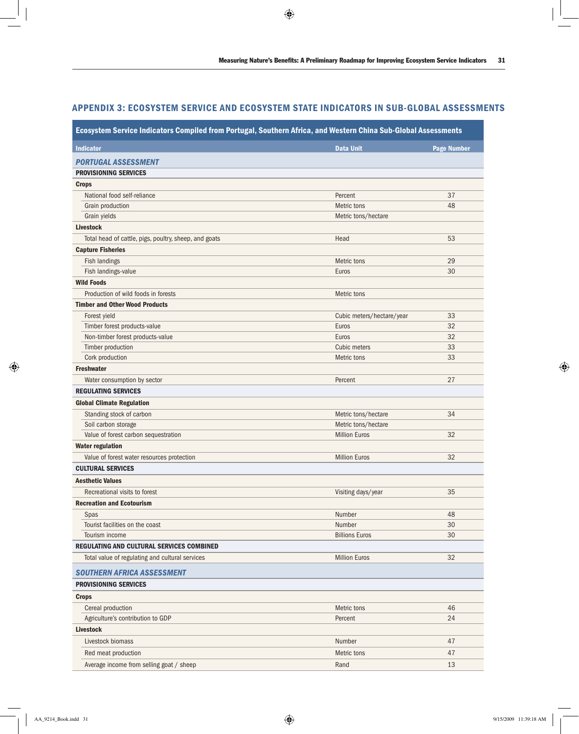# Appendix 3: Ecosystem Service and Ecosystem State Indicators in Sub-Global Assessments

| Ecosystem Service Indicators Compiled from Portugal, Southern Africa, and Western China Sub-Global Assessments |                           |                    |  |  |
|----------------------------------------------------------------------------------------------------------------|---------------------------|--------------------|--|--|
| <b>Indicator</b>                                                                                               | <b>Data Unit</b>          | <b>Page Number</b> |  |  |
| <b>PORTUGAL ASSESSMENT</b>                                                                                     |                           |                    |  |  |
| <b>PROVISIONING SERVICES</b>                                                                                   |                           |                    |  |  |
| <b>Crops</b>                                                                                                   |                           |                    |  |  |
| National food self-reliance                                                                                    | Percent                   | 37                 |  |  |
| Grain production                                                                                               | Metric tons               | 48                 |  |  |
| Grain yields                                                                                                   | Metric tons/hectare       |                    |  |  |
| <b>Livestock</b>                                                                                               |                           |                    |  |  |
| Total head of cattle, pigs, poultry, sheep, and goats                                                          | Head                      | 53                 |  |  |
| <b>Capture Fisheries</b>                                                                                       |                           |                    |  |  |
| Fish landings                                                                                                  | Metric tons               | 29                 |  |  |
| Fish landings-value                                                                                            | Euros                     | 30                 |  |  |
| <b>Wild Foods</b>                                                                                              |                           |                    |  |  |
| Production of wild foods in forests                                                                            | Metric tons               |                    |  |  |
| <b>Timber and Other Wood Products</b>                                                                          |                           |                    |  |  |
| Forest yield                                                                                                   | Cubic meters/hectare/year | 33                 |  |  |
| Timber forest products-value                                                                                   | Euros                     | 32                 |  |  |
| Non-timber forest products-value                                                                               | Euros                     | 32                 |  |  |
| Timber production                                                                                              | Cubic meters              | 33                 |  |  |
| Cork production                                                                                                | Metric tons               | 33                 |  |  |
| <b>Freshwater</b>                                                                                              |                           |                    |  |  |
| Water consumption by sector                                                                                    | Percent                   | 27                 |  |  |
| <b>REGULATING SERVICES</b>                                                                                     |                           |                    |  |  |
| <b>Global Climate Regulation</b>                                                                               |                           |                    |  |  |
| Standing stock of carbon                                                                                       | Metric tons/hectare       | 34                 |  |  |
| Soil carbon storage                                                                                            | Metric tons/hectare       |                    |  |  |
| Value of forest carbon sequestration                                                                           | <b>Million Euros</b>      | 32                 |  |  |
| <b>Water regulation</b>                                                                                        |                           |                    |  |  |
| Value of forest water resources protection                                                                     | <b>Million Euros</b>      | 32                 |  |  |
| <b>CULTURAL SERVICES</b>                                                                                       |                           |                    |  |  |
| <b>Aesthetic Values</b>                                                                                        |                           |                    |  |  |
| Recreational visits to forest                                                                                  | Visiting days/year        | 35                 |  |  |
| <b>Recreation and Ecotourism</b>                                                                               |                           |                    |  |  |
| Spas                                                                                                           | Number                    | 48                 |  |  |
| Tourist facilities on the coast                                                                                | Number                    | 30                 |  |  |
| Tourism income                                                                                                 | <b>Billions Euros</b>     | 30                 |  |  |
| REGULATING AND CULTURAL SERVICES COMBINED                                                                      |                           |                    |  |  |
| Total value of regulating and cultural services                                                                | <b>Million Euros</b>      | 32                 |  |  |
| <b>SOUTHERN AFRICA ASSESSMENT</b>                                                                              |                           |                    |  |  |
| <b>PROVISIONING SERVICES</b>                                                                                   |                           |                    |  |  |
| <b>Crops</b>                                                                                                   |                           |                    |  |  |
| Cereal production                                                                                              | Metric tons               | 46                 |  |  |
| Agriculture's contribution to GDP                                                                              | Percent                   | 24                 |  |  |
| <b>Livestock</b>                                                                                               |                           |                    |  |  |
| Livestock biomass                                                                                              | Number                    | 47                 |  |  |
| Red meat production                                                                                            | Metric tons               | 47                 |  |  |
| Average income from selling goat / sheep                                                                       | Rand                      | 13                 |  |  |
|                                                                                                                |                           |                    |  |  |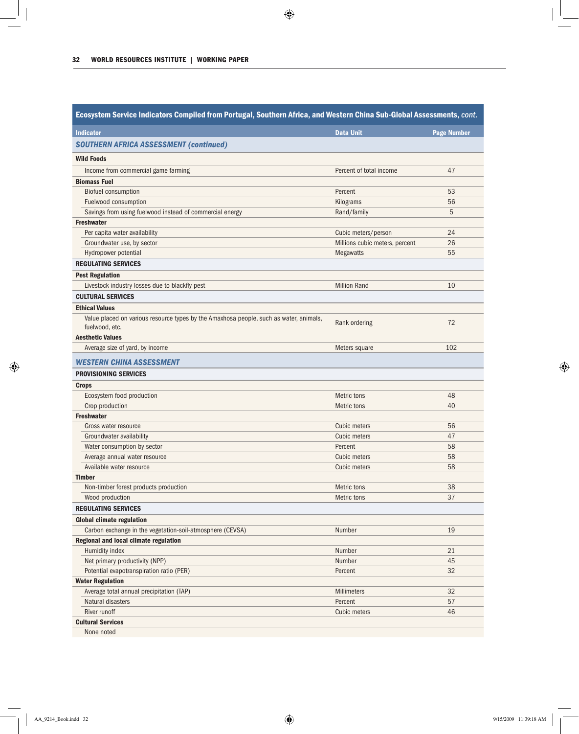| Ecosystem Service Indicators Compiled from Portugal, Southern Africa, and Western China Sub-Global Assessments, cont. |                                |                    |  |  |  |
|-----------------------------------------------------------------------------------------------------------------------|--------------------------------|--------------------|--|--|--|
| <b>Indicator</b>                                                                                                      | <b>Data Unit</b>               | <b>Page Number</b> |  |  |  |
| <b>SOUTHERN AFRICA ASSESSMENT (continued)</b>                                                                         |                                |                    |  |  |  |
| <b>Wild Foods</b>                                                                                                     |                                |                    |  |  |  |
| Income from commercial game farming                                                                                   | Percent of total income        | 47                 |  |  |  |
| <b>Biomass Fuel</b>                                                                                                   |                                |                    |  |  |  |
| <b>Biofuel consumption</b>                                                                                            | Percent                        | 53                 |  |  |  |
| Fuelwood consumption                                                                                                  | Kilograms                      | 56                 |  |  |  |
| Savings from using fuelwood instead of commercial energy                                                              | Rand/family                    | 5                  |  |  |  |
| <b>Freshwater</b>                                                                                                     |                                |                    |  |  |  |
| Per capita water availability                                                                                         | Cubic meters/person            | 24                 |  |  |  |
| Groundwater use, by sector                                                                                            | Millions cubic meters, percent | 26                 |  |  |  |
| Hydropower potential                                                                                                  | <b>Megawatts</b>               | 55                 |  |  |  |
| <b>REGULATING SERVICES</b>                                                                                            |                                |                    |  |  |  |
| <b>Pest Regulation</b>                                                                                                |                                |                    |  |  |  |
| Livestock industry losses due to blackfly pest                                                                        | <b>Million Rand</b>            | 10                 |  |  |  |
| <b>CULTURAL SERVICES</b>                                                                                              |                                |                    |  |  |  |
| <b>Ethical Values</b>                                                                                                 |                                |                    |  |  |  |
| Value placed on various resource types by the Amaxhosa people, such as water, animals,                                |                                |                    |  |  |  |
| fuelwood, etc.                                                                                                        | Rank ordering                  | 72                 |  |  |  |
| <b>Aesthetic Values</b>                                                                                               |                                |                    |  |  |  |
| Average size of yard, by income                                                                                       | Meters square                  | 102                |  |  |  |
| WESTERN CHINA ASSESSMENT                                                                                              |                                |                    |  |  |  |
| <b>PROVISIONING SERVICES</b>                                                                                          |                                |                    |  |  |  |
| <b>Crops</b>                                                                                                          |                                |                    |  |  |  |
| Ecosystem food production                                                                                             | Metric tons                    | 48                 |  |  |  |
| Crop production                                                                                                       | Metric tons                    | 40                 |  |  |  |
| <b>Freshwater</b>                                                                                                     |                                |                    |  |  |  |
| Gross water resource                                                                                                  | Cubic meters                   | 56                 |  |  |  |
| Groundwater availability                                                                                              | Cubic meters                   | 47                 |  |  |  |
| Water consumption by sector                                                                                           | Percent                        | 58                 |  |  |  |
| Average annual water resource                                                                                         | Cubic meters                   | 58                 |  |  |  |
| Available water resource                                                                                              | Cubic meters                   | 58                 |  |  |  |
| <b>Timber</b>                                                                                                         |                                |                    |  |  |  |
| Non-timber forest products production                                                                                 | Metric tons                    | 38                 |  |  |  |
| Wood production                                                                                                       | Metric tons                    | 37                 |  |  |  |
| <b>REGULATING SERVICES</b>                                                                                            |                                |                    |  |  |  |
| <b>Global climate regulation</b>                                                                                      |                                |                    |  |  |  |
| Carbon exchange in the vegetation-soil-atmosphere (CEVSA)                                                             | Number                         | 19                 |  |  |  |
| Regional and local climate regulation                                                                                 |                                |                    |  |  |  |
| Humidity index                                                                                                        | Number                         | 21                 |  |  |  |
| Net primary productivity (NPP)                                                                                        | Number                         | 45                 |  |  |  |
| Potential evapotranspiration ratio (PER)                                                                              | Percent                        | 32                 |  |  |  |
| <b>Water Regulation</b>                                                                                               |                                |                    |  |  |  |
| Average total annual precipitation (TAP)                                                                              | Millimeters                    | 32                 |  |  |  |
| Natural disasters                                                                                                     | Percent                        | 57                 |  |  |  |
| River runoff                                                                                                          | Cubic meters                   | 46                 |  |  |  |
| <b>Cultural Services</b>                                                                                              |                                |                    |  |  |  |
| None noted                                                                                                            |                                |                    |  |  |  |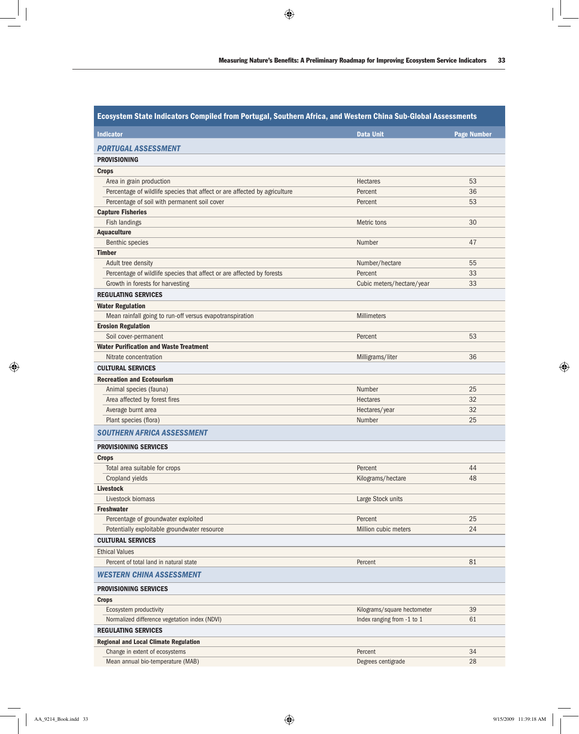| Ecosystem State Indicators Compiled from Portugal, Southern Africa, and Western China Sub-Global Assessments |                             |                    |  |
|--------------------------------------------------------------------------------------------------------------|-----------------------------|--------------------|--|
| <b>Indicator</b>                                                                                             | <b>Data Unit</b>            | <b>Page Number</b> |  |
| PORTUGAL ASSESSMENT                                                                                          |                             |                    |  |
| <b>PROVISIONING</b>                                                                                          |                             |                    |  |
| <b>Crops</b>                                                                                                 |                             |                    |  |
| Area in grain production                                                                                     | <b>Hectares</b>             | 53                 |  |
| Percentage of wildlife species that affect or are affected by agriculture                                    | Percent                     | 36                 |  |
| Percentage of soil with permanent soil cover                                                                 | Percent                     | 53                 |  |
| <b>Capture Fisheries</b>                                                                                     |                             |                    |  |
| Fish landings                                                                                                | Metric tons                 | 30                 |  |
| <b>Aquaculture</b>                                                                                           |                             |                    |  |
| <b>Benthic species</b>                                                                                       | Number                      | 47                 |  |
| <b>Timber</b>                                                                                                |                             |                    |  |
| Adult tree density                                                                                           | Number/hectare              | 55                 |  |
| Percentage of wildlife species that affect or are affected by forests                                        | Percent                     | 33                 |  |
| Growth in forests for harvesting                                                                             | Cubic meters/hectare/year   | 33                 |  |
| <b>REGULATING SERVICES</b>                                                                                   |                             |                    |  |
| <b>Water Regulation</b>                                                                                      |                             |                    |  |
| Mean rainfall going to run-off versus evapotranspiration                                                     | <b>Millimeters</b>          |                    |  |
| <b>Erosion Regulation</b>                                                                                    |                             |                    |  |
| Soil cover-permanent                                                                                         | Percent                     | 53                 |  |
| <b>Water Purification and Waste Treatment</b>                                                                |                             |                    |  |
| Nitrate concentration                                                                                        | Milligrams/liter            | 36                 |  |
| <b>CULTURAL SERVICES</b>                                                                                     |                             |                    |  |
| <b>Recreation and Ecotourism</b>                                                                             |                             |                    |  |
| Animal species (fauna)                                                                                       | Number                      | 25                 |  |
| Area affected by forest fires                                                                                | <b>Hectares</b>             | 32                 |  |
| Average burnt area                                                                                           | Hectares/year               | 32                 |  |
| Plant species (flora)                                                                                        | Number                      | 25                 |  |
|                                                                                                              |                             |                    |  |
| <b>SOUTHERN AFRICA ASSESSMENT</b>                                                                            |                             |                    |  |
| <b>PROVISIONING SERVICES</b>                                                                                 |                             |                    |  |
| <b>Crops</b>                                                                                                 |                             |                    |  |
| Total area suitable for crops                                                                                | Percent                     | 44                 |  |
| Cropland yields                                                                                              | Kilograms/hectare           | 48                 |  |
| <b>Livestock</b>                                                                                             |                             |                    |  |
| Livestock biomass                                                                                            | Large Stock units           |                    |  |
| <b>Freshwater</b>                                                                                            |                             |                    |  |
| Percentage of groundwater exploited                                                                          | Percent                     | 25                 |  |
| Potentially exploitable groundwater resource                                                                 | Million cubic meters        | 24                 |  |
| <b>CULTURAL SERVICES</b>                                                                                     |                             |                    |  |
| <b>Ethical Values</b>                                                                                        |                             |                    |  |
| Percent of total land in natural state                                                                       | Percent                     | 81                 |  |
| <b>WESTERN CHINA ASSESSMENT</b>                                                                              |                             |                    |  |
| <b>PROVISIONING SERVICES</b>                                                                                 |                             |                    |  |
| <b>Crops</b>                                                                                                 |                             |                    |  |
| Ecosystem productivity                                                                                       | Kilograms/square hectometer | 39                 |  |
| Normalized difference vegetation index (NDVI)                                                                | Index ranging from -1 to 1  | 61                 |  |
| <b>REGULATING SERVICES</b>                                                                                   |                             |                    |  |
| <b>Regional and Local Climate Regulation</b>                                                                 |                             |                    |  |
| Change in extent of ecosystems                                                                               | Percent                     | 34                 |  |
| Mean annual bio-temperature (MAB)                                                                            | Degrees centigrade          | 28                 |  |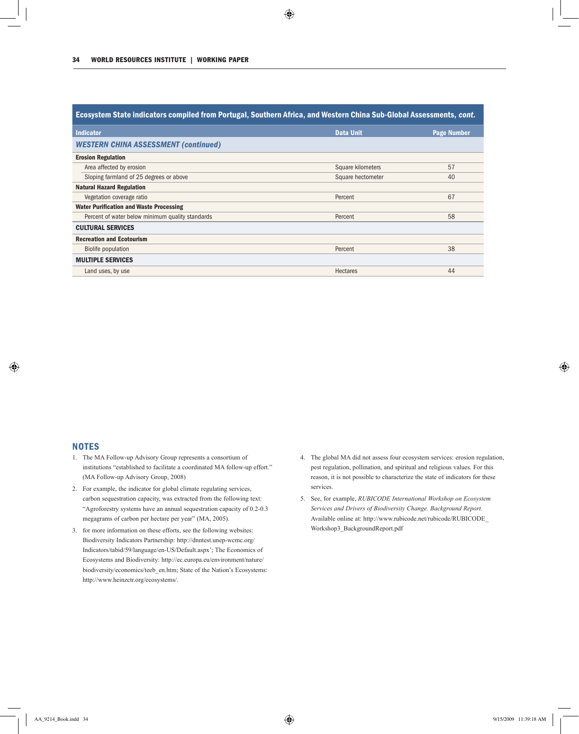| Ecosystem State indicators compiled from Portugal, Southern Africa, and Western China Sub-Global Assessments, cont. |                   |                    |  |  |  |
|---------------------------------------------------------------------------------------------------------------------|-------------------|--------------------|--|--|--|
| <b>Indicator</b>                                                                                                    | <b>Data Unit</b>  | <b>Page Number</b> |  |  |  |
| <b>WESTERN CHINA ASSESSMENT (continued)</b>                                                                         |                   |                    |  |  |  |
| <b>Erosion Regulation</b>                                                                                           |                   |                    |  |  |  |
| Area affected by erosion                                                                                            | Square kilometers | 57                 |  |  |  |
| Sloping farmland of 25 degrees or above                                                                             | Square hectometer | 40                 |  |  |  |
| <b>Natural Hazard Regulation</b>                                                                                    |                   |                    |  |  |  |
| Vegetation coverage ratio                                                                                           | Percent           | 67                 |  |  |  |
| <b>Water Purification and Waste Processing</b>                                                                      |                   |                    |  |  |  |
| Percent of water below minimum quality standards                                                                    | Percent           | 58                 |  |  |  |
| <b>CULTURAL SERVICES</b>                                                                                            |                   |                    |  |  |  |
| <b>Recreation and Ecotourism</b>                                                                                    |                   |                    |  |  |  |
| Biolife population                                                                                                  | Percent           | 38                 |  |  |  |
| <b>MULTIPLE SERVICES</b>                                                                                            |                   |                    |  |  |  |
| Land uses, by use                                                                                                   | <b>Hectares</b>   | 44                 |  |  |  |

## **NOTES**

- 1. The MA Follow-up Advisory Group represents a consortium of institutions "established to facilitate a coordinated MA follow-up effort." (MA Follow-up Advisory Group, 2008)
- 2. For example, the indicator for global climate regulating services, carbon sequestration capacity, was extracted from the following text: "Agroforestry systems have an annual sequestration capacity of 0.2-0.3 megagrams of carbon per hectare per year" (MA, 2005).
- 3. for more information on these efforts, see the following websites: Biodiversity Indicators Partnership: http://dnntest.unep-wcmc.org/ Indicators/tabid/59/language/en-US/Default.aspx'; The Economics of Ecosystems and Biodiversity: http://ec.europa.eu/environment/nature/ biodiversity/economics/teeb\_en.htm; State of the Nation's Ecosystems: http://www.heinzctr.org/ecosystems/.
- 4. The global MA did not assess four ecosystem services: erosion regulation, pest regulation, pollination, and spiritual and religious values. For this reason, it is not possible to characterize the state of indicators for these services.
- 5. See, for example, *RUBICODE International Workshop on Ecosystem Services and Drivers of Biodiversity Change. Background Report.* Available online at: http://www.rubicode.net/rubicode/RUBICODE\_ Workshop3\_BackgroundReport.pdf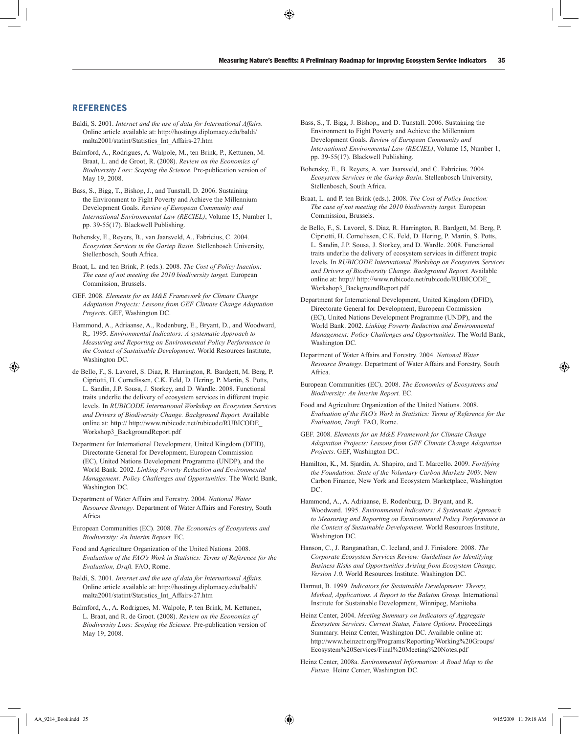## **REFERENCES**

- Baldi, S. 2001. *Internet and the use of data for International Affairs.*  Online article available at: http://hostings.diplomacy.edu/baldi/ malta2001/statint/Statistics\_Int\_Affairs-27.htm
- Balmford, A., Rodrigues, A. Walpole, M., ten Brink, P., Kettunen, M. Braat, L. and de Groot, R. (2008). *Review on the Economics of Biodiversity Loss: Scoping the Science*. Pre-publication version of May 19, 2008.
- Bass, S., Bigg, T., Bishop, J., and Tunstall, D. 2006. Sustaining the Environment to Fight Poverty and Achieve the Millennium Development Goals. *Review of European Community and International Environmental Law (RECIEL)*, Volume 15, Number 1, pp. 39-55(17). Blackwell Publishing.
- Bohensky, E., Reyers, B., van Jaarsveld, A., Fabricius, C. 2004. *Ecosystem Services in the Gariep Basin*. Stellenbosch University, Stellenbosch, South Africa.
- Braat, L. and ten Brink, P. (eds.). 2008. *The Cost of Policy Inaction: The case of not meeting the 2010 biodiversity target.* European Commission, Brussels.
- GEF. 2008. *Elements for an M&E Framework for Climate Change Adaptation Projects: Lessons from GEF Climate Change Adaptation Projects*. GEF, Washington DC.
- Hammond, A., Adriaanse, A., Rodenburg, E., Bryant, D., and Woodward, R,. 1995. *Environmental Indicators: A systematic Approach to Measuring and Reporting on Environmental Policy Performance in the Context of Sustainable Development.* World Resources Institute, Washington DC.
- de Bello, F., S. Lavorel, S. Diaz, R. Harrington, R. Bardgett, M. Berg, P. Cipriotti, H. Cornelissen, C.K. Feld, D. Hering, P. Martin, S. Potts, L. Sandin, J.P. Sousa, J. Storkey, and D. Wardle. 2008. Functional traits underlie the delivery of ecosystem services in different tropic levels*.* In *RUBICODE International Workshop on Ecosystem Services and Drivers of Biodiversity Change. Background Report.* Available online at: http:// http://www.rubicode.net/rubicode/RUBICODE\_ Workshop3\_BackgroundReport.pdf
- Department for International Development, United Kingdom (DFID), Directorate General for Development, European Commission (EC), United Nations Development Programme (UNDP), and the World Bank. 2002. *Linking Poverty Reduction and Environmental Management: Policy Challenges and Opportunities.* The World Bank, Washington DC.
- Department of Water Affairs and Forestry. 2004. *National Water Resource Strategy*. Department of Water Affairs and Forestry, South Africa.
- European Communities (EC). 2008. *The Economics of Ecosystems and Biodiversity: An Interim Report.* EC.
- Food and Agriculture Organization of the United Nations. 2008. *Evaluation of the FAO's Work in Statistics: Terms of Reference for the Evaluation, Draft.* FAO, Rome.
- Baldi, S. 2001. *Internet and the use of data for International Affairs.*  Online article available at: http://hostings.diplomacy.edu/baldi/ malta2001/statint/Statistics\_Int\_Affairs-27.htm
- Balmford, A., A. Rodrigues, M. Walpole, P. ten Brink, M. Kettunen, L. Braat, and R. de Groot. (2008). *Review on the Economics of Biodiversity Loss: Scoping the Science*. Pre-publication version of May 19, 2008.
- Bass, S., T. Bigg, J. Bishop,, and D. Tunstall. 2006. Sustaining the Environment to Fight Poverty and Achieve the Millennium Development Goals. *Review of European Community and International Environmental Law (RECIEL)*, Volume 15, Number 1, pp. 39-55(17). Blackwell Publishing.
- Bohensky, E., B. Reyers, A. van Jaarsveld, and C. Fabricius. 2004. *Ecosystem Services in the Gariep Basin*. Stellenbosch University, Stellenbosch, South Africa.
- Braat, L. and P. ten Brink (eds.). 2008. *The Cost of Policy Inaction: The case of not meeting the 2010 biodiversity target.* European Commission, Brussels.
- de Bello, F., S. Lavorel, S. Diaz, R. Harrington, R. Bardgett, M. Berg, P. Cipriotti, H. Cornelissen, C.K. Feld, D. Hering, P. Martin, S. Potts, L. Sandin, J.P. Sousa, J. Storkey, and D. Wardle. 2008. Functional traits underlie the delivery of ecosystem services in different tropic levels*.* In *RUBICODE International Workshop on Ecosystem Services and Drivers of Biodiversity Change. Background Report.* Available online at: http:// http://www.rubicode.net/rubicode/RUBICODE\_ Workshop3\_BackgroundReport.pdf
- Department for International Development, United Kingdom (DFID), Directorate General for Development, European Commission (EC), United Nations Development Programme (UNDP), and the World Bank. 2002. *Linking Poverty Reduction and Environmental Management: Policy Challenges and Opportunities.* The World Bank, Washington DC.
- Department of Water Affairs and Forestry. 2004. *National Water Resource Strategy*. Department of Water Affairs and Forestry, South Africa.
- European Communities (EC). 2008. *The Economics of Ecosystems and Biodiversity: An Interim Report.* EC.
- Food and Agriculture Organization of the United Nations. 2008. *Evaluation of the FAO's Work in Statistics: Terms of Reference for the Evaluation, Draft.* FAO, Rome.
- GEF. 2008. *Elements for an M&E Framework for Climate Change Adaptation Projects: Lessons from GEF Climate Change Adaptation Projects*. GEF, Washington DC.
- Hamilton, K., M. Sjardin, A. Shapiro, and T. Marcello. 2009. *Fortifying the Foundation: State of the Voluntary Carbon Markets 2009*. New Carbon Finance, New York and Ecosystem Marketplace, Washington DC.
- Hammond, A., A. Adriaanse, E. Rodenburg, D. Bryant, and R. Woodward. 1995. *Environmental Indicators: A Systematic Approach to Measuring and Reporting on Environmental Policy Performance in the Context of Sustainable Development.* World Resources Institute, Washington DC.
- Hanson, C., J. Ranganathan, C. Iceland, and J. Finisdore. 2008. *The Corporate Ecosystem Services Review: Guidelines for Identifying Business Risks and Opportunities Arising from Ecosystem Change, Version 1.0.* World Resources Institute. Washington DC.
- Harmut, B. 1999. *Indicators for Sustainable Development: Theory, Method, Applications. A Report to the Balaton Group.* International Institute for Sustainable Development, Winnipeg, Manitoba.
- Heinz Center, 2004. *Meeting Summary on Indicators of Aggregate Ecosystem Services: Current Status, Future Options.* Proceedings Summary. Heinz Center, Washington DC. Available online at: http://www.heinzctr.org/Programs/Reporting/Working%20Groups/ Ecosystem%20Services/Final%20Meeting%20Notes.pdf
- Heinz Center, 2008a. *Environmental Information: A Road Map to the Future.* Heinz Center, Washington DC.